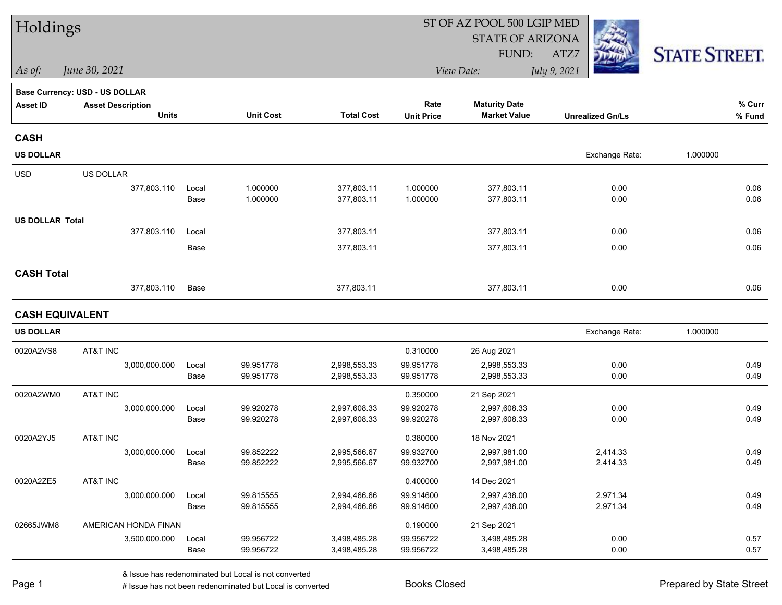| Holdings               |                                |               |                        |                              | ST OF AZ POOL 500 LGIP MED |                              |                         |                      |  |
|------------------------|--------------------------------|---------------|------------------------|------------------------------|----------------------------|------------------------------|-------------------------|----------------------|--|
|                        |                                |               |                        |                              |                            | <b>STATE OF ARIZONA</b>      |                         |                      |  |
|                        |                                |               |                        |                              |                            | FUND:                        | ATZ7                    | <b>STATE STREET.</b> |  |
| As of:                 | June 30, 2021                  |               |                        |                              |                            | View Date:                   | July 9, 2021            |                      |  |
|                        | Base Currency: USD - US DOLLAR |               |                        |                              |                            |                              |                         |                      |  |
| <b>Asset ID</b>        | <b>Asset Description</b>       |               |                        |                              | Rate                       | <b>Maturity Date</b>         |                         | % Curr               |  |
|                        | <b>Units</b>                   |               | <b>Unit Cost</b>       | <b>Total Cost</b>            | <b>Unit Price</b>          | <b>Market Value</b>          | <b>Unrealized Gn/Ls</b> | % Fund               |  |
| <b>CASH</b>            |                                |               |                        |                              |                            |                              |                         |                      |  |
| <b>US DOLLAR</b>       |                                |               |                        |                              |                            |                              | Exchange Rate:          | 1.000000             |  |
| <b>USD</b>             | US DOLLAR                      |               |                        |                              |                            |                              |                         |                      |  |
|                        | 377,803.110                    | Local         | 1.000000               | 377,803.11                   | 1.000000                   | 377,803.11                   | 0.00                    | 0.06                 |  |
|                        |                                | Base          | 1.000000               | 377,803.11                   | 1.000000                   | 377,803.11                   | 0.00                    | 0.06                 |  |
| <b>US DOLLAR Total</b> |                                |               |                        |                              |                            |                              |                         |                      |  |
|                        | 377,803.110                    | Local         |                        | 377,803.11                   |                            | 377,803.11                   | 0.00                    | 0.06                 |  |
|                        |                                | Base          |                        | 377,803.11                   |                            | 377,803.11                   | 0.00                    | 0.06                 |  |
| <b>CASH Total</b>      |                                |               |                        |                              |                            |                              |                         |                      |  |
|                        | 377,803.110                    | Base          |                        | 377,803.11                   |                            | 377,803.11                   | 0.00                    | 0.06                 |  |
| <b>CASH EQUIVALENT</b> |                                |               |                        |                              |                            |                              |                         |                      |  |
| <b>US DOLLAR</b>       |                                |               |                        |                              |                            |                              | Exchange Rate:          | 1.000000             |  |
| 0020A2VS8              | AT&T INC                       |               |                        |                              | 0.310000                   | 26 Aug 2021                  |                         |                      |  |
|                        | 3,000,000.000                  | Local         | 99.951778              | 2,998,553.33                 | 99.951778                  | 2,998,553.33                 | 0.00                    | 0.49                 |  |
|                        |                                | Base          | 99.951778              | 2,998,553.33                 | 99.951778                  | 2,998,553.33                 | 0.00                    | 0.49                 |  |
| 0020A2WM0              | AT&T INC                       |               |                        |                              | 0.350000                   | 21 Sep 2021                  |                         |                      |  |
|                        | 3,000,000.000                  | Local<br>Base | 99.920278<br>99.920278 | 2,997,608.33<br>2,997,608.33 | 99.920278<br>99.920278     | 2,997,608.33<br>2,997,608.33 | 0.00<br>0.00            | 0.49<br>0.49         |  |
|                        |                                |               |                        |                              |                            |                              |                         |                      |  |
| 0020A2YJ5              | AT&T INC                       |               |                        |                              | 0.380000                   | 18 Nov 2021                  | 2,414.33                |                      |  |
|                        | 3,000,000.000                  | Local<br>Base | 99.852222<br>99.852222 | 2,995,566.67<br>2,995,566.67 | 99.932700<br>99.932700     | 2,997,981.00<br>2,997,981.00 | 2,414.33                | 0.49<br>0.49         |  |
| 0020A2ZE5              | AT&T INC                       |               |                        |                              | 0.400000                   | 14 Dec 2021                  |                         |                      |  |
|                        | 3,000,000.000                  | Local         | 99.815555              | 2,994,466.66                 | 99.914600                  | 2,997,438.00                 | 2,971.34                | 0.49                 |  |
|                        |                                | Base          | 99.815555              | 2,994,466.66                 | 99.914600                  | 2,997,438.00                 | 2,971.34                | 0.49                 |  |
| 02665JWM8              | AMERICAN HONDA FINAN           |               |                        |                              | 0.190000                   | 21 Sep 2021                  |                         |                      |  |
|                        | 3,500,000.000                  | Local         | 99.956722              | 3,498,485.28                 | 99.956722                  | 3,498,485.28                 | 0.00                    | 0.57                 |  |
|                        |                                | Base          | 99.956722              | 3,498,485.28                 | 99.956722                  | 3,498,485.28                 | 0.00                    | 0.57                 |  |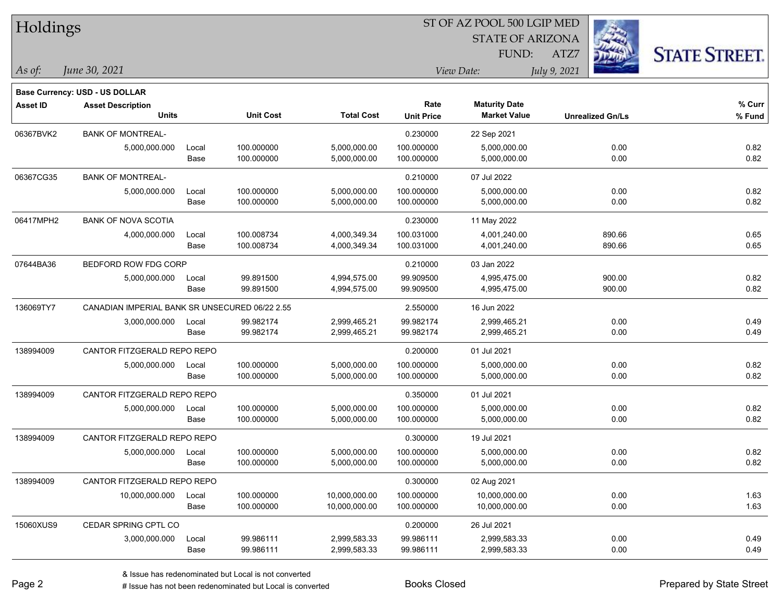| Holdings        |                                                            |       |                  |                   | ST OF AZ POOL 500 LGIP MED |                         |                         |                      |  |  |  |
|-----------------|------------------------------------------------------------|-------|------------------|-------------------|----------------------------|-------------------------|-------------------------|----------------------|--|--|--|
|                 |                                                            |       |                  |                   |                            | <b>STATE OF ARIZONA</b> |                         |                      |  |  |  |
|                 |                                                            |       |                  |                   |                            | <b>FUND:</b>            | ATZ7                    | <b>STATE STREET.</b> |  |  |  |
| $\vert$ As of:  | June 30, 2021                                              |       |                  |                   |                            | View Date:              | July 9, 2021            |                      |  |  |  |
|                 |                                                            |       |                  |                   |                            |                         |                         |                      |  |  |  |
| <b>Asset ID</b> | Base Currency: USD - US DOLLAR<br><b>Asset Description</b> |       |                  |                   | Rate                       | <b>Maturity Date</b>    |                         | % Curr               |  |  |  |
|                 | <b>Units</b>                                               |       | <b>Unit Cost</b> | <b>Total Cost</b> | <b>Unit Price</b>          | <b>Market Value</b>     | <b>Unrealized Gn/Ls</b> | % Fund               |  |  |  |
| 06367BVK2       | <b>BANK OF MONTREAL-</b>                                   |       |                  |                   | 0.230000                   | 22 Sep 2021             |                         |                      |  |  |  |
|                 | 5,000,000.000                                              | Local | 100.000000       | 5,000,000.00      | 100.000000                 | 5,000,000.00            | 0.00                    | 0.82                 |  |  |  |
|                 |                                                            | Base  | 100.000000       | 5,000,000.00      | 100.000000                 | 5,000,000.00            | 0.00                    | 0.82                 |  |  |  |
| 06367CG35       | <b>BANK OF MONTREAL-</b>                                   |       |                  |                   | 0.210000                   | 07 Jul 2022             |                         |                      |  |  |  |
|                 | 5,000,000.000                                              | Local | 100.000000       | 5,000,000.00      | 100.000000                 | 5,000,000.00            | 0.00                    | 0.82                 |  |  |  |
|                 |                                                            | Base  | 100.000000       | 5,000,000.00      | 100.000000                 | 5,000,000.00            | 0.00                    | 0.82                 |  |  |  |
| 06417MPH2       | <b>BANK OF NOVA SCOTIA</b>                                 |       |                  |                   | 0.230000                   | 11 May 2022             |                         |                      |  |  |  |
|                 | 4,000,000.000                                              | Local | 100.008734       | 4,000,349.34      | 100.031000                 | 4,001,240.00            | 890.66                  | 0.65                 |  |  |  |
|                 |                                                            | Base  | 100.008734       | 4,000,349.34      | 100.031000                 | 4,001,240.00            | 890.66                  | 0.65                 |  |  |  |
| 07644BA36       | BEDFORD ROW FDG CORP                                       |       |                  |                   | 0.210000                   | 03 Jan 2022             |                         |                      |  |  |  |
|                 | 5,000,000.000                                              | Local | 99.891500        | 4,994,575.00      | 99.909500                  | 4,995,475.00            | 900.00                  | 0.82                 |  |  |  |
|                 |                                                            | Base  | 99.891500        | 4,994,575.00      | 99.909500                  | 4,995,475.00            | 900.00                  | 0.82                 |  |  |  |
| 136069TY7       | CANADIAN IMPERIAL BANK SR UNSECURED 06/22 2.55             |       |                  |                   | 2.550000                   | 16 Jun 2022             |                         |                      |  |  |  |
|                 | 3,000,000.000                                              | Local | 99.982174        | 2,999,465.21      | 99.982174                  | 2,999,465.21            | 0.00                    | 0.49                 |  |  |  |
|                 |                                                            | Base  | 99.982174        | 2,999,465.21      | 99.982174                  | 2,999,465.21            | 0.00                    | 0.49                 |  |  |  |
| 138994009       | CANTOR FITZGERALD REPO REPO                                |       |                  |                   | 0.200000                   | 01 Jul 2021             |                         |                      |  |  |  |
|                 | 5,000,000.000                                              | Local | 100.000000       | 5,000,000.00      | 100.000000                 | 5,000,000.00            | 0.00                    | 0.82                 |  |  |  |
|                 |                                                            | Base  | 100.000000       | 5,000,000.00      | 100.000000                 | 5,000,000.00            | 0.00                    | 0.82                 |  |  |  |
| 138994009       | CANTOR FITZGERALD REPO REPO                                |       |                  |                   | 0.350000                   | 01 Jul 2021             |                         |                      |  |  |  |
|                 | 5,000,000.000                                              | Local | 100.000000       | 5,000,000.00      | 100.000000                 | 5,000,000.00            | 0.00                    | 0.82                 |  |  |  |
|                 |                                                            | Base  | 100.000000       | 5,000,000.00      | 100.000000                 | 5,000,000.00            | 0.00                    | 0.82                 |  |  |  |
| 138994009       | CANTOR FITZGERALD REPO REPO                                |       |                  |                   | 0.300000                   | 19 Jul 2021             |                         |                      |  |  |  |
|                 | 5,000,000.000                                              | Local | 100.000000       | 5,000,000.00      | 100.000000                 | 5,000,000.00            | 0.00                    | 0.82                 |  |  |  |
|                 |                                                            | Base  | 100.000000       | 5,000,000.00      | 100.000000                 | 5,000,000.00            | 0.00                    | 0.82                 |  |  |  |
| 138994009       | CANTOR FITZGERALD REPO REPO                                |       |                  |                   | 0.300000                   | 02 Aug 2021             |                         |                      |  |  |  |
|                 | 10,000,000.000                                             | Local | 100.000000       | 10,000,000.00     | 100.000000                 | 10,000,000.00           | 0.00                    | 1.63                 |  |  |  |
|                 |                                                            | Base  | 100.000000       | 10,000,000.00     | 100.000000                 | 10,000,000.00           | 0.00                    | 1.63                 |  |  |  |
| 15060XUS9       | CEDAR SPRING CPTL CO                                       |       |                  |                   | 0.200000                   | 26 Jul 2021             |                         |                      |  |  |  |
|                 | 3,000,000.000                                              | Local | 99.986111        | 2,999,583.33      | 99.986111                  | 2,999,583.33            | 0.00                    | 0.49                 |  |  |  |
|                 |                                                            | Base  | 99.986111        | 2,999,583.33      | 99.986111                  | 2,999,583.33            | 0.00                    | 0.49                 |  |  |  |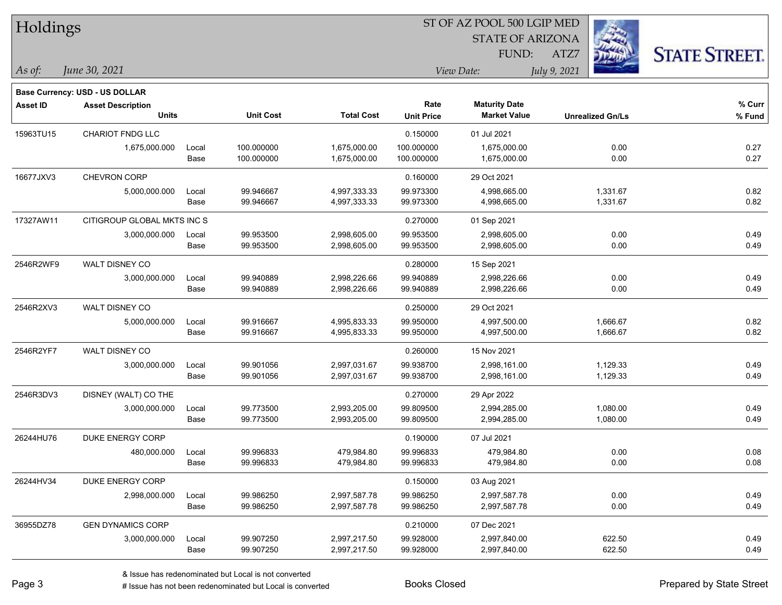| Holdings        |                                          |       |                  | ST OF AZ POOL 500 LGIP MED |                   |                                             |                         |                      |  |  |
|-----------------|------------------------------------------|-------|------------------|----------------------------|-------------------|---------------------------------------------|-------------------------|----------------------|--|--|
|                 |                                          |       |                  |                            |                   |                                             |                         |                      |  |  |
|                 |                                          |       |                  |                            |                   | FUND:                                       | ATZ7                    | <b>STATE STREET.</b> |  |  |
| As of:          | June 30, 2021                            |       |                  |                            | View Date:        |                                             | July 9, 2021            |                      |  |  |
|                 |                                          |       |                  |                            |                   |                                             |                         |                      |  |  |
|                 | Base Currency: USD - US DOLLAR           |       |                  |                            | Rate              |                                             |                         | $%$ Curr             |  |  |
| <b>Asset ID</b> | <b>Asset Description</b><br><b>Units</b> |       | <b>Unit Cost</b> | <b>Total Cost</b>          | <b>Unit Price</b> | <b>Maturity Date</b><br><b>Market Value</b> | <b>Unrealized Gn/Ls</b> | % Fund               |  |  |
| 15963TU15       | <b>CHARIOT FNDG LLC</b>                  |       |                  |                            | 0.150000          | 01 Jul 2021                                 |                         |                      |  |  |
|                 | 1,675,000.000                            | Local | 100.000000       | 1,675,000.00               | 100.000000        | 1,675,000.00                                | 0.00                    | 0.27                 |  |  |
|                 |                                          | Base  | 100.000000       | 1,675,000.00               | 100.000000        | 1,675,000.00                                | 0.00                    | 0.27                 |  |  |
| 16677JXV3       | CHEVRON CORP                             |       |                  |                            | 0.160000          | 29 Oct 2021                                 |                         |                      |  |  |
|                 | 5,000,000.000                            | Local | 99.946667        | 4,997,333.33               | 99.973300         | 4,998,665.00                                | 1,331.67                | 0.82                 |  |  |
|                 |                                          | Base  | 99.946667        | 4,997,333.33               | 99.973300         | 4,998,665.00                                | 1,331.67                | 0.82                 |  |  |
| 17327AW11       | CITIGROUP GLOBAL MKTS INC S              |       |                  |                            | 0.270000          | 01 Sep 2021                                 |                         |                      |  |  |
|                 | 3,000,000.000                            | Local | 99.953500        | 2,998,605.00               | 99.953500         | 2,998,605.00                                | 0.00                    | 0.49                 |  |  |
|                 |                                          | Base  | 99.953500        | 2,998,605.00               | 99.953500         | 2,998,605.00                                | 0.00                    | 0.49                 |  |  |
| 2546R2WF9       | <b>WALT DISNEY CO</b>                    |       |                  |                            | 0.280000          | 15 Sep 2021                                 |                         |                      |  |  |
|                 | 3,000,000.000                            | Local | 99.940889        | 2,998,226.66               | 99.940889         | 2,998,226.66                                | 0.00                    | 0.49                 |  |  |
|                 |                                          | Base  | 99.940889        | 2,998,226.66               | 99.940889         | 2,998,226.66                                | 0.00                    | 0.49                 |  |  |
| 2546R2XV3       | WALT DISNEY CO                           |       |                  |                            | 0.250000          | 29 Oct 2021                                 |                         |                      |  |  |
|                 | 5,000,000.000                            | Local | 99.916667        | 4,995,833.33               | 99.950000         | 4,997,500.00                                | 1,666.67                | 0.82                 |  |  |
|                 |                                          | Base  | 99.916667        | 4,995,833.33               | 99.950000         | 4,997,500.00                                | 1,666.67                | 0.82                 |  |  |
| 2546R2YF7       | WALT DISNEY CO                           |       |                  |                            | 0.260000          | 15 Nov 2021                                 |                         |                      |  |  |
|                 | 3,000,000.000                            | Local | 99.901056        | 2,997,031.67               | 99.938700         | 2,998,161.00                                | 1,129.33                | 0.49                 |  |  |
|                 |                                          | Base  | 99.901056        | 2,997,031.67               | 99.938700         | 2,998,161.00                                | 1,129.33                | 0.49                 |  |  |
| 2546R3DV3       | DISNEY (WALT) CO THE                     |       |                  |                            | 0.270000          | 29 Apr 2022                                 |                         |                      |  |  |
|                 | 3,000,000.000                            | Local | 99.773500        | 2,993,205.00               | 99.809500         | 2,994,285.00                                | 1,080.00                | 0.49                 |  |  |
|                 |                                          | Base  | 99.773500        | 2,993,205.00               | 99.809500         | 2,994,285.00                                | 1,080.00                | 0.49                 |  |  |
| 26244HU76       | <b>DUKE ENERGY CORP</b>                  |       |                  |                            | 0.190000          | 07 Jul 2021                                 |                         |                      |  |  |
|                 | 480,000.000                              | Local | 99.996833        | 479,984.80                 | 99.996833         | 479,984.80                                  | 0.00                    | 0.08                 |  |  |
|                 |                                          | Base  | 99.996833        | 479,984.80                 | 99.996833         | 479,984.80                                  | 0.00                    | 0.08                 |  |  |
| 26244HV34       | DUKE ENERGY CORP                         |       |                  |                            | 0.150000          | 03 Aug 2021                                 |                         |                      |  |  |
|                 | 2,998,000.000                            | Local | 99.986250        | 2,997,587.78               | 99.986250         | 2,997,587.78                                | 0.00                    | 0.49                 |  |  |
|                 |                                          | Base  | 99.986250        | 2,997,587.78               | 99.986250         | 2,997,587.78                                | 0.00                    | 0.49                 |  |  |
| 36955DZ78       | <b>GEN DYNAMICS CORP</b>                 |       |                  |                            | 0.210000          | 07 Dec 2021                                 |                         |                      |  |  |
|                 | 3,000,000.000                            | Local | 99.907250        | 2,997,217.50               | 99.928000         | 2,997,840.00                                | 622.50                  | 0.49                 |  |  |
|                 |                                          | Base  | 99.907250        | 2,997,217.50               | 99.928000         | 2,997,840.00                                | 622.50                  | 0.49                 |  |  |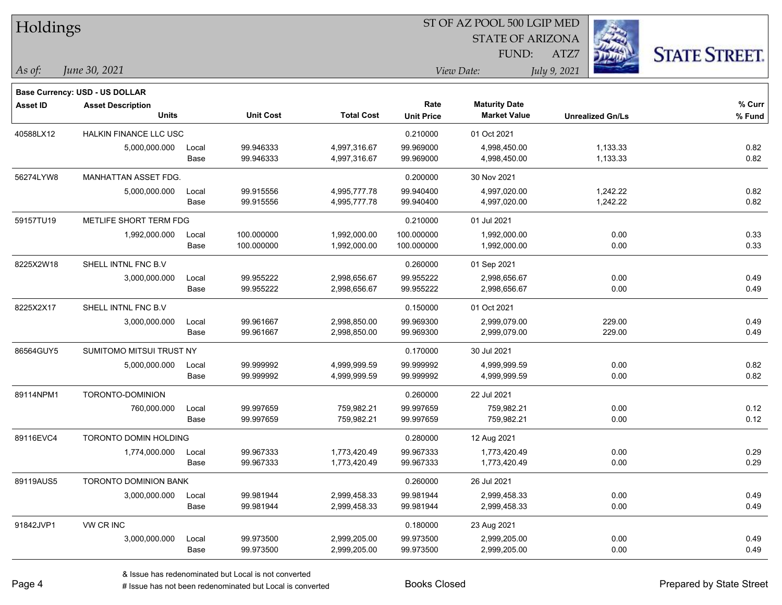| Holdings        |                                       |       |                  | ST OF AZ POOL 500 LGIP MED |                   |                         |              |                         |                      |  |
|-----------------|---------------------------------------|-------|------------------|----------------------------|-------------------|-------------------------|--------------|-------------------------|----------------------|--|
|                 |                                       |       |                  |                            |                   | <b>STATE OF ARIZONA</b> |              |                         |                      |  |
|                 |                                       |       |                  |                            |                   | FUND:                   | ATZ7         |                         | <b>STATE STREET.</b> |  |
| As of:          | June 30, 2021                         |       |                  |                            |                   | View Date:              | July 9, 2021 |                         |                      |  |
|                 | <b>Base Currency: USD - US DOLLAR</b> |       |                  |                            |                   |                         |              |                         |                      |  |
| <b>Asset ID</b> | <b>Asset Description</b>              |       |                  |                            | Rate              | <b>Maturity Date</b>    |              |                         | % Curr               |  |
|                 | <b>Units</b>                          |       | <b>Unit Cost</b> | <b>Total Cost</b>          | <b>Unit Price</b> | <b>Market Value</b>     |              | <b>Unrealized Gn/Ls</b> | % Fund               |  |
| 40588LX12       | HALKIN FINANCE LLC USC                |       |                  |                            | 0.210000          | 01 Oct 2021             |              |                         |                      |  |
|                 | 5,000,000.000                         | Local | 99.946333        | 4,997,316.67               | 99.969000         | 4,998,450.00            |              | 1,133.33                | 0.82                 |  |
|                 |                                       | Base  | 99.946333        | 4,997,316.67               | 99.969000         | 4,998,450.00            |              | 1,133.33                | 0.82                 |  |
| 56274LYW8       | MANHATTAN ASSET FDG.                  |       |                  |                            | 0.200000          | 30 Nov 2021             |              |                         |                      |  |
|                 | 5,000,000.000                         | Local | 99.915556        | 4,995,777.78               | 99.940400         | 4,997,020.00            |              | 1,242.22                | 0.82                 |  |
|                 |                                       | Base  | 99.915556        | 4,995,777.78               | 99.940400         | 4,997,020.00            |              | 1,242.22                | 0.82                 |  |
| 59157TU19       | METLIFE SHORT TERM FDG                |       |                  |                            | 0.210000          | 01 Jul 2021             |              |                         |                      |  |
|                 | 1,992,000.000                         | Local | 100.000000       | 1,992,000.00               | 100.000000        | 1,992,000.00            |              | 0.00                    | 0.33                 |  |
|                 |                                       | Base  | 100.000000       | 1,992,000.00               | 100.000000        | 1,992,000.00            |              | 0.00                    | 0.33                 |  |
| 8225X2W18       | SHELL INTNL FNC B.V                   |       |                  |                            | 0.260000          | 01 Sep 2021             |              |                         |                      |  |
|                 | 3,000,000.000                         | Local | 99.955222        | 2,998,656.67               | 99.955222         | 2,998,656.67            |              | 0.00                    | 0.49                 |  |
|                 |                                       | Base  | 99.955222        | 2,998,656.67               | 99.955222         | 2,998,656.67            |              | 0.00                    | 0.49                 |  |
| 8225X2X17       | SHELL INTNL FNC B.V                   |       |                  |                            | 0.150000          | 01 Oct 2021             |              |                         |                      |  |
|                 | 3,000,000.000                         | Local | 99.961667        | 2,998,850.00               | 99.969300         | 2,999,079.00            |              | 229.00                  | 0.49                 |  |
|                 |                                       | Base  | 99.961667        | 2,998,850.00               | 99.969300         | 2,999,079.00            |              | 229.00                  | 0.49                 |  |
| 86564GUY5       | SUMITOMO MITSUI TRUST NY              |       |                  |                            | 0.170000          | 30 Jul 2021             |              |                         |                      |  |
|                 | 5,000,000.000                         | Local | 99.999992        | 4,999,999.59               | 99.999992         | 4,999,999.59            |              | 0.00                    | 0.82                 |  |
|                 |                                       | Base  | 99.999992        | 4,999,999.59               | 99.999992         | 4,999,999.59            |              | 0.00                    | 0.82                 |  |
| 89114NPM1       | TORONTO-DOMINION                      |       |                  |                            | 0.260000          | 22 Jul 2021             |              |                         |                      |  |
|                 | 760,000.000                           | Local | 99.997659        | 759,982.21                 | 99.997659         | 759,982.21              |              | 0.00                    | 0.12                 |  |
|                 |                                       | Base  | 99.997659        | 759,982.21                 | 99.997659         | 759,982.21              |              | 0.00                    | 0.12                 |  |
| 89116EVC4       | TORONTO DOMIN HOLDING                 |       |                  |                            | 0.280000          | 12 Aug 2021             |              |                         |                      |  |
|                 | 1,774,000.000                         | Local | 99.967333        | 1,773,420.49               | 99.967333         | 1,773,420.49            |              | 0.00                    | 0.29                 |  |
|                 |                                       | Base  | 99.967333        | 1,773,420.49               | 99.967333         | 1,773,420.49            |              | 0.00                    | 0.29                 |  |
| 89119AUS5       | <b>TORONTO DOMINION BANK</b>          |       |                  |                            | 0.260000          | 26 Jul 2021             |              |                         |                      |  |
|                 | 3,000,000.000                         | Local | 99.981944        | 2,999,458.33               | 99.981944         | 2,999,458.33            |              | 0.00                    | 0.49                 |  |
|                 |                                       | Base  | 99.981944        | 2,999,458.33               | 99.981944         | 2,999,458.33            |              | 0.00                    | 0.49                 |  |
| 91842JVP1       | VW CR INC                             |       |                  |                            | 0.180000          | 23 Aug 2021             |              |                         |                      |  |
|                 | 3,000,000.000                         | Local | 99.973500        | 2,999,205.00               | 99.973500         | 2,999,205.00            |              | 0.00                    | 0.49                 |  |
|                 |                                       | Base  | 99.973500        | 2,999,205.00               | 99.973500         | 2,999,205.00            |              | 0.00                    | 0.49                 |  |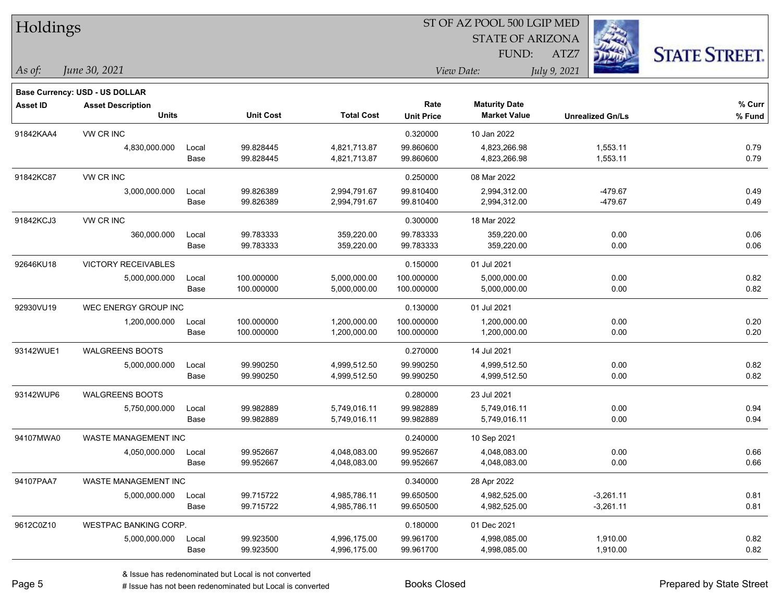| Holdings        |                                       |       |                  |                   |                   | ST OF AZ POOL 500 LGIP MED |                         |                      |
|-----------------|---------------------------------------|-------|------------------|-------------------|-------------------|----------------------------|-------------------------|----------------------|
|                 |                                       |       |                  |                   |                   | <b>STATE OF ARIZONA</b>    |                         |                      |
|                 |                                       |       |                  |                   |                   | FUND:                      | ATZ7                    | <b>STATE STREET.</b> |
| As of:          | June 30, 2021                         |       |                  |                   |                   | View Date:                 | July 9, 2021            |                      |
|                 | <b>Base Currency: USD - US DOLLAR</b> |       |                  |                   |                   |                            |                         |                      |
| <b>Asset ID</b> | <b>Asset Description</b>              |       |                  |                   | Rate              | <b>Maturity Date</b>       |                         | % Curr               |
|                 | <b>Units</b>                          |       | <b>Unit Cost</b> | <b>Total Cost</b> | <b>Unit Price</b> | <b>Market Value</b>        | <b>Unrealized Gn/Ls</b> | % Fund               |
| 91842KAA4       | VW CR INC                             |       |                  |                   | 0.320000          | 10 Jan 2022                |                         |                      |
|                 | 4,830,000.000                         | Local | 99.828445        | 4,821,713.87      | 99.860600         | 4,823,266.98               | 1,553.11                | 0.79                 |
|                 |                                       | Base  | 99.828445        | 4,821,713.87      | 99.860600         | 4,823,266.98               | 1,553.11                | 0.79                 |
| 91842KC87       | VW CR INC                             |       |                  |                   | 0.250000          | 08 Mar 2022                |                         |                      |
|                 | 3,000,000.000                         | Local | 99.826389        | 2,994,791.67      | 99.810400         | 2,994,312.00               | -479.67                 | 0.49                 |
|                 |                                       | Base  | 99.826389        | 2,994,791.67      | 99.810400         | 2,994,312.00               | $-479.67$               | 0.49                 |
| 91842KCJ3       | VW CR INC                             |       |                  |                   | 0.300000          | 18 Mar 2022                |                         |                      |
|                 | 360,000.000                           | Local | 99.783333        | 359,220.00        | 99.783333         | 359,220.00                 | 0.00                    | 0.06                 |
|                 |                                       | Base  | 99.783333        | 359,220.00        | 99.783333         | 359,220.00                 | 0.00                    | 0.06                 |
| 92646KU18       | <b>VICTORY RECEIVABLES</b>            |       |                  |                   | 0.150000          | 01 Jul 2021                |                         |                      |
|                 | 5,000,000.000                         | Local | 100.000000       | 5,000,000.00      | 100.000000        | 5,000,000.00               | 0.00                    | 0.82                 |
|                 |                                       | Base  | 100.000000       | 5,000,000.00      | 100.000000        | 5,000,000.00               | 0.00                    | 0.82                 |
| 92930VU19       | WEC ENERGY GROUP INC                  |       |                  |                   | 0.130000          | 01 Jul 2021                |                         |                      |
|                 | 1,200,000.000                         | Local | 100.000000       | 1,200,000.00      | 100.000000        | 1,200,000.00               | 0.00                    | 0.20                 |
|                 |                                       | Base  | 100.000000       | 1,200,000.00      | 100.000000        | 1,200,000.00               | 0.00                    | 0.20                 |
| 93142WUE1       | <b>WALGREENS BOOTS</b>                |       |                  |                   | 0.270000          | 14 Jul 2021                |                         |                      |
|                 | 5,000,000.000                         | Local | 99.990250        | 4,999,512.50      | 99.990250         | 4,999,512.50               | 0.00                    | 0.82                 |
|                 |                                       | Base  | 99.990250        | 4,999,512.50      | 99.990250         | 4,999,512.50               | 0.00                    | 0.82                 |
| 93142WUP6       | <b>WALGREENS BOOTS</b>                |       |                  |                   | 0.280000          | 23 Jul 2021                |                         |                      |
|                 | 5,750,000.000                         | Local | 99.982889        | 5,749,016.11      | 99.982889         | 5,749,016.11               | 0.00                    | 0.94                 |
|                 |                                       | Base  | 99.982889        | 5,749,016.11      | 99.982889         | 5,749,016.11               | 0.00                    | 0.94                 |
| 94107MWA0       | <b>WASTE MANAGEMENT INC</b>           |       |                  |                   | 0.240000          | 10 Sep 2021                |                         |                      |
|                 | 4,050,000.000                         | Local | 99.952667        | 4,048,083.00      | 99.952667         | 4,048,083.00               | 0.00                    | 0.66                 |
|                 |                                       | Base  | 99.952667        | 4,048,083.00      | 99.952667         | 4,048,083.00               | 0.00                    | 0.66                 |
| 94107PAA7       | WASTE MANAGEMENT INC                  |       |                  |                   | 0.340000          | 28 Apr 2022                |                         |                      |
|                 | 5,000,000.000                         | Local | 99.715722        | 4,985,786.11      | 99.650500         | 4,982,525.00               | $-3,261.11$             | 0.81                 |
|                 |                                       | Base  | 99.715722        | 4,985,786.11      | 99.650500         | 4,982,525.00               | $-3,261.11$             | 0.81                 |
| 9612C0Z10       | <b>WESTPAC BANKING CORP.</b>          |       |                  |                   | 0.180000          | 01 Dec 2021                |                         |                      |
|                 | 5,000,000.000                         | Local | 99.923500        | 4,996,175.00      | 99.961700         | 4,998,085.00               | 1,910.00                | 0.82                 |
|                 |                                       | Base  | 99.923500        | 4,996,175.00      | 99.961700         | 4,998,085.00               | 1,910.00                | 0.82                 |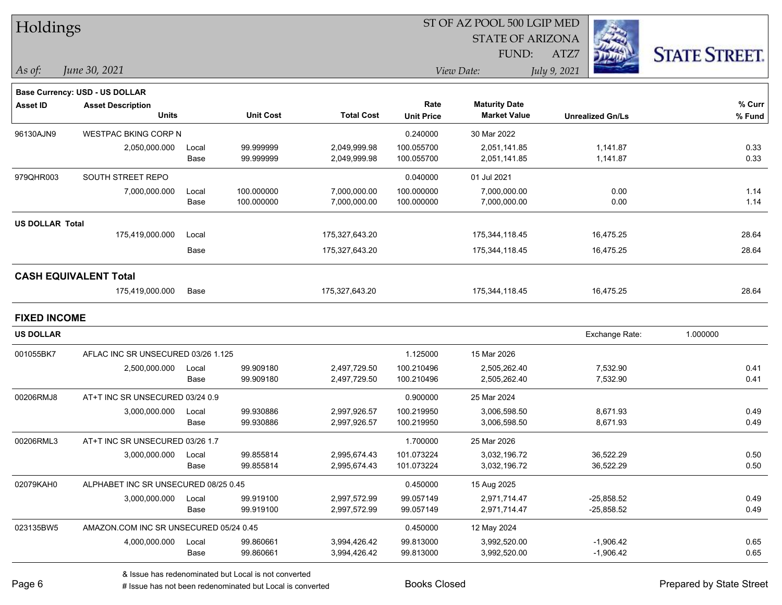| Holdings               |                                        |       |                  |                   | ST OF AZ POOL 500 LGIP MED |                         |                         |                      |
|------------------------|----------------------------------------|-------|------------------|-------------------|----------------------------|-------------------------|-------------------------|----------------------|
|                        |                                        |       |                  |                   |                            | <b>STATE OF ARIZONA</b> |                         |                      |
|                        |                                        |       |                  |                   |                            | <b>FUND:</b>            | ATZ7                    | <b>STATE STREET.</b> |
| $\vert$ As of:         | June 30, 2021                          |       |                  |                   |                            | View Date:              | July 9, 2021            |                      |
|                        | Base Currency: USD - US DOLLAR         |       |                  |                   |                            |                         |                         |                      |
| <b>Asset ID</b>        | <b>Asset Description</b>               |       |                  |                   | Rate                       | <b>Maturity Date</b>    |                         | % Curr               |
|                        | <b>Units</b>                           |       | <b>Unit Cost</b> | <b>Total Cost</b> | <b>Unit Price</b>          | <b>Market Value</b>     | <b>Unrealized Gn/Ls</b> | % Fund               |
| 96130AJN9              | <b>WESTPAC BKING CORP N</b>            |       |                  |                   | 0.240000                   | 30 Mar 2022             |                         |                      |
|                        | 2,050,000.000                          | Local | 99.999999        | 2,049,999.98      | 100.055700                 | 2,051,141.85            | 1,141.87                | 0.33                 |
|                        |                                        | Base  | 99.999999        | 2,049,999.98      | 100.055700                 | 2,051,141.85            | 1,141.87                | 0.33                 |
| 979QHR003              | SOUTH STREET REPO                      |       |                  |                   | 0.040000                   | 01 Jul 2021             |                         |                      |
|                        | 7,000,000.000                          | Local | 100.000000       | 7,000,000.00      | 100.000000                 | 7,000,000.00            | 0.00                    | 1.14                 |
|                        |                                        | Base  | 100.000000       | 7,000,000.00      | 100.000000                 | 7,000,000.00            | 0.00                    | 1.14                 |
| <b>US DOLLAR Total</b> |                                        |       |                  |                   |                            |                         |                         |                      |
|                        | 175,419,000.000                        | Local |                  | 175,327,643.20    |                            | 175,344,118.45          | 16,475.25               | 28.64                |
|                        |                                        | Base  |                  | 175,327,643.20    |                            | 175,344,118.45          | 16,475.25               | 28.64                |
|                        | <b>CASH EQUIVALENT Total</b>           |       |                  |                   |                            |                         |                         |                      |
|                        | 175,419,000.000                        | Base  |                  | 175,327,643.20    |                            | 175,344,118.45          | 16,475.25               | 28.64                |
| <b>FIXED INCOME</b>    |                                        |       |                  |                   |                            |                         |                         |                      |
| <b>US DOLLAR</b>       |                                        |       |                  |                   |                            |                         | Exchange Rate:          | 1.000000             |
| 001055BK7              | AFLAC INC SR UNSECURED 03/26 1.125     |       |                  |                   | 1.125000                   | 15 Mar 2026             |                         |                      |
|                        | 2,500,000.000                          | Local | 99.909180        | 2,497,729.50      | 100.210496                 | 2,505,262.40            | 7,532.90                | 0.41                 |
|                        |                                        | Base  | 99.909180        | 2,497,729.50      | 100.210496                 | 2,505,262.40            | 7,532.90                | 0.41                 |
| 00206RMJ8              | AT+T INC SR UNSECURED 03/24 0.9        |       |                  |                   | 0.900000                   | 25 Mar 2024             |                         |                      |
|                        | 3,000,000.000                          | Local | 99.930886        | 2,997,926.57      | 100.219950                 | 3,006,598.50            | 8,671.93                | 0.49                 |
|                        |                                        | Base  | 99.930886        | 2,997,926.57      | 100.219950                 | 3,006,598.50            | 8,671.93                | 0.49                 |
| 00206RML3              | AT+T INC SR UNSECURED 03/26 1.7        |       |                  |                   | 1.700000                   | 25 Mar 2026             |                         |                      |
|                        | 3,000,000.000                          | Local | 99.855814        | 2,995,674.43      | 101.073224                 | 3,032,196.72            | 36,522.29               | 0.50                 |
|                        |                                        | Base  | 99.855814        | 2,995,674.43      | 101.073224                 | 3,032,196.72            | 36,522.29               | $0.50\,$             |
| 02079KAH0              | ALPHABET INC SR UNSECURED 08/25 0.45   |       |                  |                   | 0.450000                   | 15 Aug 2025             |                         |                      |
|                        | 3,000,000.000                          | Local | 99.919100        | 2,997,572.99      | 99.057149                  | 2,971,714.47            | $-25,858.52$            | 0.49                 |
|                        |                                        | Base  | 99.919100        | 2,997,572.99      | 99.057149                  | 2,971,714.47            | $-25,858.52$            | 0.49                 |
| 023135BW5              | AMAZON.COM INC SR UNSECURED 05/24 0.45 |       |                  |                   | 0.450000                   | 12 May 2024             |                         |                      |
|                        | 4,000,000.000                          | Local | 99.860661        | 3,994,426.42      | 99.813000                  | 3,992,520.00            | $-1,906.42$             | 0.65                 |
|                        |                                        | Base  | 99.860661        | 3,994,426.42      | 99.813000                  | 3,992,520.00            | $-1,906.42$             | 0.65                 |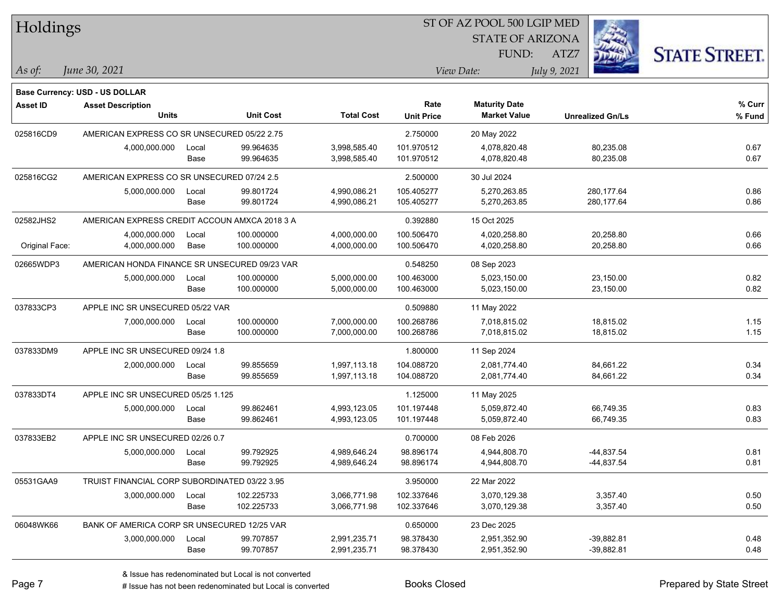| Holdings       |                                               |       |                  |                   | ST OF AZ POOL 500 LGIP MED |                                             |                         |                      |  |  |
|----------------|-----------------------------------------------|-------|------------------|-------------------|----------------------------|---------------------------------------------|-------------------------|----------------------|--|--|
|                |                                               |       |                  |                   |                            | <b>STATE OF ARIZONA</b>                     |                         |                      |  |  |
|                |                                               |       |                  |                   |                            | FUND:                                       | ATZ7                    | <b>STATE STREET.</b> |  |  |
| As of:         | June 30, 2021                                 |       |                  |                   |                            | View Date:                                  | July 9, 2021            |                      |  |  |
|                |                                               |       |                  |                   |                            |                                             |                         |                      |  |  |
|                | <b>Base Currency: USD - US DOLLAR</b>         |       |                  |                   |                            |                                             |                         |                      |  |  |
| Asset ID       | <b>Asset Description</b><br><b>Units</b>      |       | <b>Unit Cost</b> | <b>Total Cost</b> | Rate                       | <b>Maturity Date</b><br><b>Market Value</b> |                         | % Curr               |  |  |
|                |                                               |       |                  |                   | <b>Unit Price</b>          |                                             | <b>Unrealized Gn/Ls</b> | % Fund               |  |  |
| 025816CD9      | AMERICAN EXPRESS CO SR UNSECURED 05/22 2.75   |       |                  |                   | 2.750000                   | 20 May 2022                                 |                         |                      |  |  |
|                | 4,000,000.000                                 | Local | 99.964635        | 3,998,585.40      | 101.970512                 | 4,078,820.48                                | 80,235.08               | 0.67                 |  |  |
|                |                                               | Base  | 99.964635        | 3,998,585.40      | 101.970512                 | 4,078,820.48                                | 80,235.08               | 0.67                 |  |  |
| 025816CG2      | AMERICAN EXPRESS CO SR UNSECURED 07/24 2.5    |       |                  |                   | 2.500000                   | 30 Jul 2024                                 |                         |                      |  |  |
|                | 5,000,000.000                                 | Local | 99.801724        | 4,990,086.21      | 105.405277                 | 5,270,263.85                                | 280, 177.64             | 0.86                 |  |  |
|                |                                               | Base  | 99.801724        | 4,990,086.21      | 105.405277                 | 5,270,263.85                                | 280,177.64              | 0.86                 |  |  |
| 02582JHS2      | AMERICAN EXPRESS CREDIT ACCOUN AMXCA 2018 3 A |       |                  |                   | 0.392880                   | 15 Oct 2025                                 |                         |                      |  |  |
|                | 4,000,000.000                                 | Local | 100.000000       | 4,000,000.00      | 100.506470                 | 4,020,258.80                                | 20,258.80               | 0.66                 |  |  |
| Original Face: | 4,000,000.000                                 | Base  | 100.000000       | 4,000,000.00      | 100.506470                 | 4,020,258.80                                | 20,258.80               | 0.66                 |  |  |
| 02665WDP3      | AMERICAN HONDA FINANCE SR UNSECURED 09/23 VAR |       |                  |                   | 0.548250                   | 08 Sep 2023                                 |                         |                      |  |  |
|                | 5,000,000.000                                 | Local | 100.000000       | 5,000,000.00      | 100.463000                 | 5,023,150.00                                | 23,150.00               | 0.82                 |  |  |
|                |                                               | Base  | 100.000000       | 5,000,000.00      | 100.463000                 | 5,023,150.00                                | 23,150.00               | 0.82                 |  |  |
| 037833CP3      | APPLE INC SR UNSECURED 05/22 VAR              |       |                  | 0.509880          | 11 May 2022                |                                             |                         |                      |  |  |
|                | 7,000,000.000                                 | Local | 100.000000       | 7,000,000.00      | 100.268786                 | 7,018,815.02                                | 18,815.02               | 1.15                 |  |  |
|                |                                               | Base  | 100.000000       | 7,000,000.00      | 100.268786                 | 7,018,815.02                                | 18,815.02               | 1.15                 |  |  |
| 037833DM9      | APPLE INC SR UNSECURED 09/24 1.8              |       |                  |                   | 1.800000                   | 11 Sep 2024                                 |                         |                      |  |  |
|                | 2,000,000.000                                 | Local | 99.855659        | 1,997,113.18      | 104.088720                 | 2,081,774.40                                | 84,661.22               | 0.34                 |  |  |
|                |                                               | Base  | 99.855659        | 1,997,113.18      | 104.088720                 | 2,081,774.40                                | 84,661.22               | 0.34                 |  |  |
| 037833DT4      | APPLE INC SR UNSECURED 05/25 1.125            |       |                  |                   | 1.125000                   | 11 May 2025                                 |                         |                      |  |  |
|                | 5,000,000.000                                 | Local | 99.862461        | 4,993,123.05      | 101.197448                 | 5,059,872.40                                | 66,749.35               | 0.83                 |  |  |
|                |                                               | Base  | 99.862461        | 4,993,123.05      | 101.197448                 | 5,059,872.40                                | 66,749.35               | 0.83                 |  |  |
| 037833EB2      | APPLE INC SR UNSECURED 02/26 0.7              |       |                  |                   | 0.700000                   | 08 Feb 2026                                 |                         |                      |  |  |
|                | 5,000,000.000                                 | Local | 99.792925        | 4.989.646.24      | 98.896174                  | 4,944,808.70                                | -44,837.54              | 0.81                 |  |  |
|                |                                               | Base  | 99.792925        | 4,989,646.24      | 98.896174                  | 4,944,808.70                                | -44,837.54              | 0.81                 |  |  |
| 05531GAA9      | TRUIST FINANCIAL CORP SUBORDINATED 03/22 3.95 |       |                  |                   | 3.950000                   | 22 Mar 2022                                 |                         |                      |  |  |
|                | 3,000,000.000                                 | Local | 102.225733       | 3,066,771.98      | 102.337646                 | 3,070,129.38                                | 3,357.40                | 0.50                 |  |  |
|                |                                               | Base  | 102.225733       | 3,066,771.98      | 102.337646                 | 3,070,129.38                                | 3,357.40                | 0.50                 |  |  |
| 06048WK66      | BANK OF AMERICA CORP SR UNSECURED 12/25 VAR   |       |                  |                   | 0.650000                   | 23 Dec 2025                                 |                         |                      |  |  |
|                | 3,000,000.000                                 | Local | 99.707857        | 2,991,235.71      | 98.378430                  | 2,951,352.90                                | $-39,882.81$            | 0.48                 |  |  |
|                |                                               | Base  | 99.707857        | 2,991,235.71      | 98.378430                  | 2,951,352.90                                | $-39,882.81$            | 0.48                 |  |  |
|                |                                               |       |                  |                   |                            |                                             |                         |                      |  |  |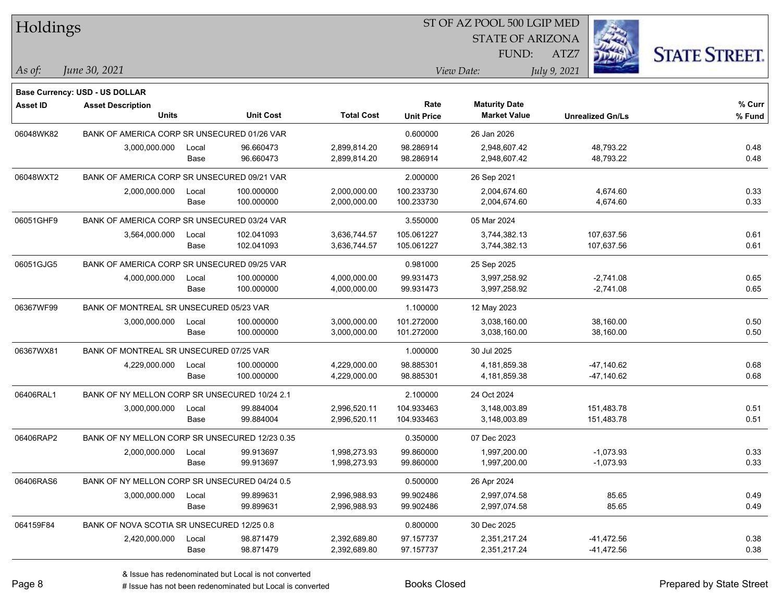| Holdings        |                                                |       |                  |                   | ST OF AZ POOL 500 LGIP MED |                         |                         |                      |
|-----------------|------------------------------------------------|-------|------------------|-------------------|----------------------------|-------------------------|-------------------------|----------------------|
|                 |                                                |       |                  |                   |                            | <b>STATE OF ARIZONA</b> |                         |                      |
|                 |                                                |       |                  |                   |                            | FUND:                   | ATZ7                    | <b>STATE STREET.</b> |
| As of:          | June 30, 2021                                  |       |                  |                   |                            | View Date:              | July 9, 2021            |                      |
|                 | <b>Base Currency: USD - US DOLLAR</b>          |       |                  |                   |                            |                         |                         |                      |
| <b>Asset ID</b> | <b>Asset Description</b>                       |       |                  |                   | Rate                       | <b>Maturity Date</b>    |                         | % Curr               |
|                 | Units                                          |       | <b>Unit Cost</b> | <b>Total Cost</b> | <b>Unit Price</b>          | <b>Market Value</b>     | <b>Unrealized Gn/Ls</b> | % Fund               |
| 06048WK82       | BANK OF AMERICA CORP SR UNSECURED 01/26 VAR    |       |                  |                   | 0.600000                   | 26 Jan 2026             |                         |                      |
|                 | 3,000,000.000                                  | Local | 96.660473        | 2,899,814.20      | 98.286914                  | 2,948,607.42            | 48,793.22               | 0.48                 |
|                 |                                                | Base  | 96.660473        | 2,899,814.20      | 98.286914                  | 2,948,607.42            | 48,793.22               | 0.48                 |
| 06048WXT2       | BANK OF AMERICA CORP SR UNSECURED 09/21 VAR    |       |                  |                   | 2.000000                   | 26 Sep 2021             |                         |                      |
|                 | 2,000,000.000                                  | Local | 100.000000       | 2,000,000.00      | 100.233730                 | 2,004,674.60            | 4,674.60                | 0.33                 |
|                 |                                                | Base  | 100.000000       | 2,000,000.00      | 100.233730                 | 2,004,674.60            | 4,674.60                | 0.33                 |
| 06051GHF9       | BANK OF AMERICA CORP SR UNSECURED 03/24 VAR    |       |                  |                   | 3.550000                   | 05 Mar 2024             |                         |                      |
|                 | 3,564,000.000                                  | Local | 102.041093       | 3,636,744.57      | 105.061227                 | 3,744,382.13            | 107,637.56              | 0.61                 |
|                 |                                                | Base  | 102.041093       | 3,636,744.57      | 105.061227                 | 3,744,382.13            | 107,637.56              | 0.61                 |
| 06051GJG5       | BANK OF AMERICA CORP SR UNSECURED 09/25 VAR    |       |                  |                   | 0.981000                   | 25 Sep 2025             |                         |                      |
|                 | 4,000,000.000                                  | Local | 100.000000       | 4,000,000.00      | 99.931473                  | 3,997,258.92            | $-2,741.08$             | 0.65                 |
|                 |                                                | Base  | 100.000000       | 4,000,000.00      | 99.931473                  | 3,997,258.92            | $-2,741.08$             | 0.65                 |
| 06367WF99       | BANK OF MONTREAL SR UNSECURED 05/23 VAR        |       |                  |                   | 1.100000                   | 12 May 2023             |                         |                      |
|                 | 3,000,000.000                                  | Local | 100.000000       | 3,000,000.00      | 101.272000                 | 3,038,160.00            | 38,160.00               | 0.50                 |
|                 |                                                | Base  | 100.000000       | 3,000,000.00      | 101.272000                 | 3,038,160.00            | 38,160.00               | 0.50                 |
| 06367WX81       | BANK OF MONTREAL SR UNSECURED 07/25 VAR        |       |                  |                   | 1.000000                   | 30 Jul 2025             |                         |                      |
|                 | 4,229,000.000                                  | Local | 100.000000       | 4,229,000.00      | 98.885301                  | 4,181,859.38            | $-47,140.62$            | 0.68                 |
|                 |                                                | Base  | 100.000000       | 4,229,000.00      | 98.885301                  | 4,181,859.38            | -47,140.62              | 0.68                 |
| 06406RAL1       | BANK OF NY MELLON CORP SR UNSECURED 10/24 2.1  |       |                  |                   | 2.100000                   | 24 Oct 2024             |                         |                      |
|                 | 3,000,000.000                                  | Local | 99.884004        | 2,996,520.11      | 104.933463                 | 3,148,003.89            | 151,483.78              | 0.51                 |
|                 |                                                | Base  | 99.884004        | 2,996,520.11      | 104.933463                 | 3,148,003.89            | 151,483.78              | 0.51                 |
| 06406RAP2       | BANK OF NY MELLON CORP SR UNSECURED 12/23 0.35 |       |                  |                   | 0.350000                   | 07 Dec 2023             |                         |                      |
|                 | 2,000,000.000                                  | Local | 99.913697        | 1,998,273.93      | 99.860000                  | 1,997,200.00            | $-1,073.93$             | 0.33                 |
|                 |                                                | Base  | 99.913697        | 1,998,273.93      | 99.860000                  | 1,997,200.00            | $-1,073.93$             | 0.33                 |
| 06406RAS6       | BANK OF NY MELLON CORP SR UNSECURED 04/24 0.5  |       |                  |                   | 0.500000                   | 26 Apr 2024             |                         |                      |
|                 | 3,000,000.000                                  | Local | 99.899631        | 2,996,988.93      | 99.902486                  | 2,997,074.58            | 85.65                   | 0.49                 |
|                 |                                                | Base  | 99.899631        | 2,996,988.93      | 99.902486                  | 2,997,074.58            | 85.65                   | 0.49                 |
| 064159F84       | BANK OF NOVA SCOTIA SR UNSECURED 12/25 0.8     |       |                  |                   | 0.800000                   | 30 Dec 2025             |                         |                      |
|                 | 2,420,000.000                                  | Local | 98.871479        | 2,392,689.80      | 97.157737                  | 2,351,217.24            | $-41,472.56$            | 0.38                 |
|                 |                                                | Base  | 98.871479        | 2,392,689.80      | 97.157737                  | 2,351,217.24            | -41,472.56              | 0.38                 |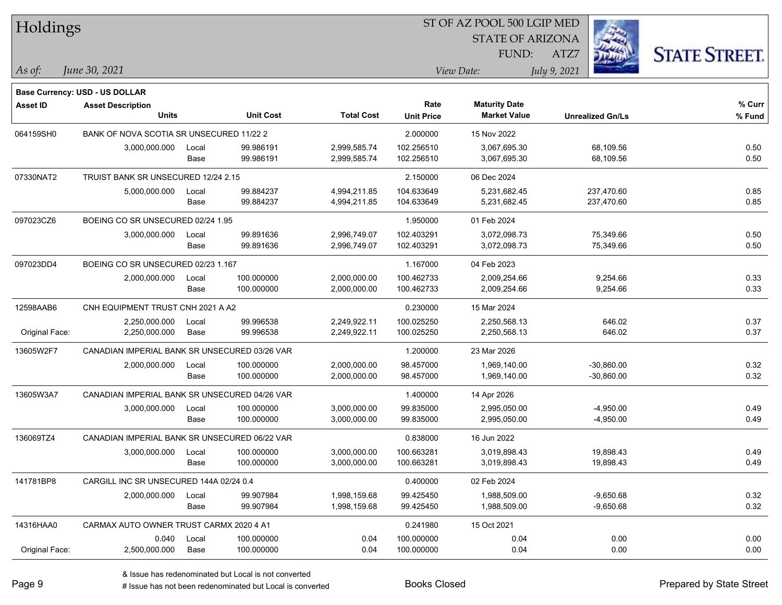| Holdings        |                                               |       |                  |                   | ST OF AZ POOL 500 LGIP MED |                                             |                         |                      |  |  |
|-----------------|-----------------------------------------------|-------|------------------|-------------------|----------------------------|---------------------------------------------|-------------------------|----------------------|--|--|
|                 |                                               |       |                  |                   |                            | <b>STATE OF ARIZONA</b>                     |                         |                      |  |  |
|                 |                                               |       |                  |                   |                            | FUND:                                       | ATZ7                    | <b>STATE STREET.</b> |  |  |
| $ $ As of:      | June 30, 2021                                 |       |                  |                   |                            | View Date:                                  | July 9, 2021            |                      |  |  |
|                 |                                               |       |                  |                   |                            |                                             |                         |                      |  |  |
|                 | Base Currency: USD - US DOLLAR                |       |                  |                   |                            |                                             |                         |                      |  |  |
| <b>Asset ID</b> | <b>Asset Description</b><br><b>Units</b>      |       | <b>Unit Cost</b> | <b>Total Cost</b> | Rate<br><b>Unit Price</b>  | <b>Maturity Date</b><br><b>Market Value</b> | <b>Unrealized Gn/Ls</b> | % Curr<br>% Fund     |  |  |
|                 |                                               |       |                  |                   |                            |                                             |                         |                      |  |  |
| 064159SH0       | BANK OF NOVA SCOTIA SR UNSECURED 11/22 2      |       |                  |                   | 2.000000                   | 15 Nov 2022                                 |                         |                      |  |  |
|                 | 3,000,000.000                                 | Local | 99.986191        | 2,999,585.74      | 102.256510                 | 3,067,695.30                                | 68,109.56               | 0.50                 |  |  |
|                 |                                               | Base  | 99.986191        | 2,999,585.74      | 102.256510                 | 3,067,695.30                                | 68,109.56               | 0.50                 |  |  |
| 07330NAT2       | TRUIST BANK SR UNSECURED 12/24 2.15           |       |                  |                   | 2.150000                   | 06 Dec 2024                                 |                         |                      |  |  |
|                 | 5,000,000.000                                 | Local | 99.884237        | 4,994,211.85      | 104.633649                 | 5,231,682.45                                | 237,470.60              | 0.85                 |  |  |
|                 |                                               | Base  | 99.884237        | 4,994,211.85      | 104.633649                 | 5,231,682.45                                | 237,470.60              | 0.85                 |  |  |
| 097023CZ6       | BOEING CO SR UNSECURED 02/24 1.95             |       |                  |                   | 1.950000                   | 01 Feb 2024                                 |                         |                      |  |  |
|                 | 3,000,000.000                                 | Local | 99.891636        | 2,996,749.07      | 102.403291                 | 3,072,098.73                                | 75,349.66               | 0.50                 |  |  |
|                 |                                               | Base  | 99.891636        | 2,996,749.07      | 102.403291                 | 3,072,098.73                                | 75,349.66               | 0.50                 |  |  |
| 097023DD4       | BOEING CO SR UNSECURED 02/23 1.167            |       |                  |                   | 1.167000                   | 04 Feb 2023                                 |                         |                      |  |  |
|                 | 2,000,000.000                                 | Local | 100.000000       | 2,000,000.00      | 100.462733                 | 2,009,254.66                                | 9,254.66                | 0.33                 |  |  |
|                 |                                               | Base  | 100.000000       | 2,000,000.00      | 100.462733                 | 2,009,254.66                                | 9,254.66                | 0.33                 |  |  |
| 12598AAB6       | CNH EQUIPMENT TRUST CNH 2021 A A2             |       |                  |                   | 0.230000                   | 15 Mar 2024                                 |                         |                      |  |  |
|                 | 2,250,000.000                                 | Local | 99.996538        | 2,249,922.11      | 100.025250                 | 2,250,568.13                                | 646.02                  | 0.37                 |  |  |
| Original Face:  | 2,250,000.000                                 | Base  | 99.996538        | 2,249,922.11      | 100.025250                 | 2,250,568.13                                | 646.02                  | 0.37                 |  |  |
| 13605W2F7       | CANADIAN IMPERIAL BANK SR UNSECURED 03/26 VAR |       |                  |                   | 1.200000                   | 23 Mar 2026                                 |                         |                      |  |  |
|                 | 2,000,000.000                                 | Local | 100.000000       | 2,000,000.00      | 98.457000                  | 1,969,140.00                                | $-30,860.00$            | 0.32                 |  |  |
|                 |                                               | Base  | 100.000000       | 2,000,000.00      | 98.457000                  | 1,969,140.00                                | $-30,860.00$            | 0.32                 |  |  |
| 13605W3A7       | CANADIAN IMPERIAL BANK SR UNSECURED 04/26 VAR |       |                  |                   | 1.400000                   | 14 Apr 2026                                 |                         |                      |  |  |
|                 | 3,000,000.000                                 | Local | 100.000000       | 3,000,000.00      | 99.835000                  | 2,995,050.00                                | $-4,950.00$             | 0.49                 |  |  |
|                 |                                               | Base  | 100.000000       | 3,000,000.00      | 99.835000                  | 2,995,050.00                                | $-4,950.00$             | 0.49                 |  |  |
| 136069TZ4       | CANADIAN IMPERIAL BANK SR UNSECURED 06/22 VAR |       |                  |                   | 0.838000                   | 16 Jun 2022                                 |                         |                      |  |  |
|                 | 3,000,000.000                                 | Local | 100.000000       | 3,000,000.00      | 100.663281                 | 3,019,898.43                                | 19,898.43               | 0.49                 |  |  |
|                 |                                               | Base  | 100.000000       | 3,000,000.00      | 100.663281                 | 3,019,898.43                                | 19,898.43               | 0.49                 |  |  |
| 141781BP8       | CARGILL INC SR UNSECURED 144A 02/24 0.4       |       |                  |                   | 0.400000                   | 02 Feb 2024                                 |                         |                      |  |  |
|                 | 2,000,000.000                                 | Local | 99.907984        | 1,998,159.68      | 99.425450                  | 1,988,509.00                                | $-9,650.68$             | 0.32                 |  |  |
|                 |                                               | Base  | 99.907984        | 1,998,159.68      | 99.425450                  | 1,988,509.00                                | $-9,650.68$             | 0.32                 |  |  |
| 14316HAA0       | CARMAX AUTO OWNER TRUST CARMX 2020 4 A1       |       |                  |                   | 0.241980                   | 15 Oct 2021                                 |                         |                      |  |  |
|                 | 0.040                                         | Local | 100.000000       | 0.04              | 100.000000                 | 0.04                                        | 0.00                    | 0.00                 |  |  |
| Original Face:  | 2,500,000.000                                 | Base  | 100.000000       | 0.04              | 100.000000                 | 0.04                                        | 0.00                    | 0.00                 |  |  |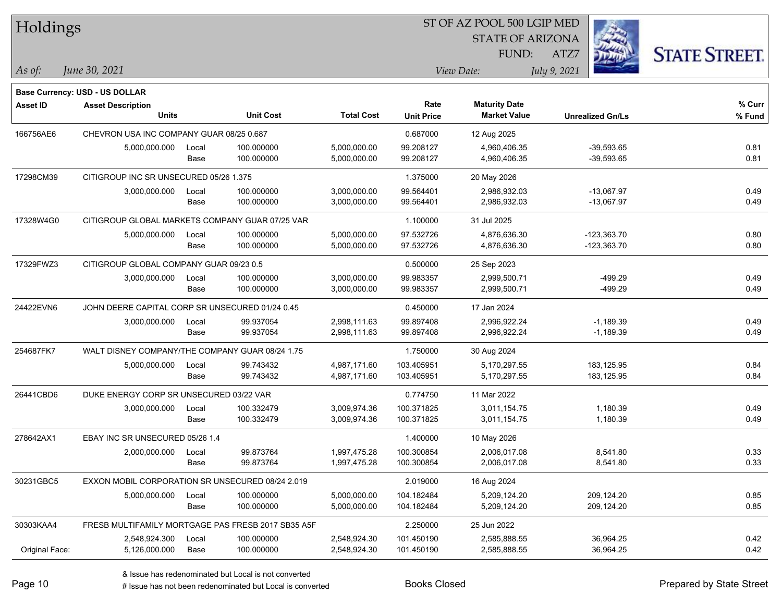| Holdings       |                                                  |       |                                                    |                   | ST OF AZ POOL 500 LGIP MED |                         |              |                         |                      |  |
|----------------|--------------------------------------------------|-------|----------------------------------------------------|-------------------|----------------------------|-------------------------|--------------|-------------------------|----------------------|--|
|                |                                                  |       |                                                    |                   |                            | <b>STATE OF ARIZONA</b> |              |                         |                      |  |
|                |                                                  |       |                                                    |                   |                            | FUND:                   | ATZ7         |                         | <b>STATE STREET.</b> |  |
|                | June 30, 2021                                    |       |                                                    |                   |                            | View Date:              |              |                         |                      |  |
| As of:         |                                                  |       |                                                    |                   |                            |                         | July 9, 2021 |                         |                      |  |
|                | <b>Base Currency: USD - US DOLLAR</b>            |       |                                                    |                   |                            |                         |              |                         |                      |  |
| Asset ID       | <b>Asset Description</b>                         |       |                                                    |                   | Rate                       | <b>Maturity Date</b>    |              |                         | % Curr               |  |
|                | <b>Units</b>                                     |       | <b>Unit Cost</b>                                   | <b>Total Cost</b> | <b>Unit Price</b>          | <b>Market Value</b>     |              | <b>Unrealized Gn/Ls</b> | % Fund               |  |
| 166756AE6      | CHEVRON USA INC COMPANY GUAR 08/25 0.687         |       |                                                    |                   | 0.687000                   | 12 Aug 2025             |              |                         |                      |  |
|                | 5,000,000.000                                    | Local | 100.000000                                         | 5,000,000.00      | 99.208127                  | 4,960,406.35            |              | $-39,593.65$            | 0.81                 |  |
|                |                                                  | Base  | 100.000000                                         | 5,000,000.00      | 99.208127                  | 4,960,406.35            |              | $-39,593.65$            | 0.81                 |  |
| 17298CM39      | CITIGROUP INC SR UNSECURED 05/26 1.375           |       |                                                    |                   | 1.375000                   | 20 May 2026             |              |                         |                      |  |
|                | 3,000,000.000                                    | Local | 100.000000                                         | 3,000,000.00      | 99.564401                  | 2,986,932.03            |              | -13,067.97              | 0.49                 |  |
|                |                                                  | Base  | 100.000000                                         | 3,000,000.00      | 99.564401                  | 2,986,932.03            |              | -13,067.97              | 0.49                 |  |
| 17328W4G0      | CITIGROUP GLOBAL MARKETS COMPANY GUAR 07/25 VAR  |       |                                                    |                   | 1.100000                   | 31 Jul 2025             |              |                         |                      |  |
|                | 5,000,000.000                                    | Local | 100.000000                                         | 5,000,000.00      | 97.532726                  | 4,876,636.30            |              | $-123,363.70$           | 0.80                 |  |
|                |                                                  | Base  | 100.000000                                         | 5,000,000.00      | 97.532726                  | 4,876,636.30            |              | $-123,363.70$           | 0.80                 |  |
| 17329FWZ3      | CITIGROUP GLOBAL COMPANY GUAR 09/23 0.5          |       |                                                    |                   | 0.500000                   | 25 Sep 2023             |              |                         |                      |  |
|                | 3,000,000.000                                    | Local | 100.000000                                         | 3,000,000.00      | 99.983357                  | 2,999,500.71            |              | $-499.29$               | 0.49                 |  |
|                |                                                  | Base  | 100.000000                                         | 3,000,000.00      | 99.983357                  | 2,999,500.71            |              | $-499.29$               | 0.49                 |  |
| 24422EVN6      | JOHN DEERE CAPITAL CORP SR UNSECURED 01/24 0.45  |       |                                                    |                   | 0.450000                   | 17 Jan 2024             |              |                         |                      |  |
|                | 3,000,000.000                                    | Local | 99.937054                                          | 2,998,111.63      | 99.897408                  | 2,996,922.24            |              | $-1,189.39$             | 0.49                 |  |
|                |                                                  | Base  | 99.937054                                          | 2,998,111.63      | 99.897408                  | 2,996,922.24            |              | $-1,189.39$             | 0.49                 |  |
| 254687FK7      | WALT DISNEY COMPANY/THE COMPANY GUAR 08/24 1.75  |       |                                                    |                   | 1.750000                   | 30 Aug 2024             |              |                         |                      |  |
|                | 5,000,000.000                                    | Local | 99.743432                                          | 4,987,171.60      | 103.405951                 | 5,170,297.55            |              | 183,125.95              | 0.84                 |  |
|                |                                                  | Base  | 99.743432                                          | 4,987,171.60      | 103.405951                 | 5,170,297.55            |              | 183,125.95              | 0.84                 |  |
| 26441CBD6      | DUKE ENERGY CORP SR UNSECURED 03/22 VAR          |       |                                                    |                   | 0.774750                   | 11 Mar 2022             |              |                         |                      |  |
|                | 3,000,000.000                                    | Local | 100.332479                                         | 3,009,974.36      | 100.371825                 | 3,011,154.75            |              | 1,180.39                | 0.49                 |  |
|                |                                                  | Base  | 100.332479                                         | 3,009,974.36      | 100.371825                 | 3,011,154.75            |              | 1,180.39                | 0.49                 |  |
| 278642AX1      | EBAY INC SR UNSECURED 05/26 1.4                  |       |                                                    |                   | 1.400000                   | 10 May 2026             |              |                         |                      |  |
|                | 2,000,000.000                                    | Local | 99.873764                                          | 1,997,475.28      | 100.300854                 | 2,006,017.08            |              | 8,541.80                | 0.33                 |  |
|                |                                                  | Base  | 99.873764                                          | 1,997,475.28      | 100.300854                 | 2,006,017.08            |              | 8,541.80                | 0.33                 |  |
| 30231GBC5      | EXXON MOBIL CORPORATION SR UNSECURED 08/24 2.019 |       |                                                    |                   | 2.019000                   | 16 Aug 2024             |              |                         |                      |  |
|                | 5,000,000.000                                    | Local | 100.000000                                         | 5,000,000.00      | 104.182484                 | 5,209,124.20            |              | 209,124.20              | 0.85                 |  |
|                |                                                  | Base  | 100.000000                                         | 5,000,000.00      | 104.182484                 | 5,209,124.20            |              | 209,124.20              | 0.85                 |  |
| 30303KAA4      |                                                  |       | FRESB MULTIFAMILY MORTGAGE PAS FRESB 2017 SB35 A5F |                   | 2.250000                   | 25 Jun 2022             |              |                         |                      |  |
|                | 2,548,924.300                                    | Local | 100.000000                                         | 2,548,924.30      | 101.450190                 | 2,585,888.55            |              | 36,964.25               | 0.42                 |  |
| Original Face: | 5,126,000.000                                    | Base  | 100.000000                                         | 2,548,924.30      | 101.450190                 | 2,585,888.55            |              | 36,964.25               | 0.42                 |  |
|                |                                                  |       |                                                    |                   |                            |                         |              |                         |                      |  |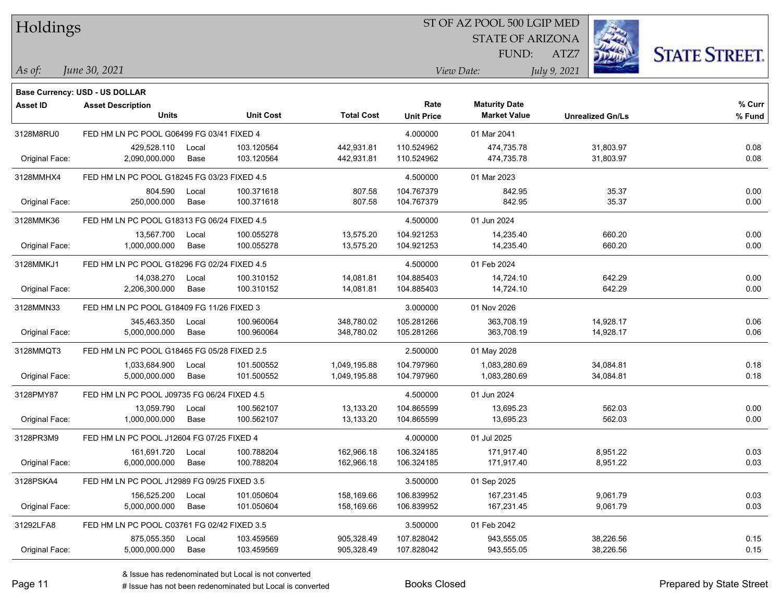| Holdings        |                                             |       |                  |                   | 51 OF AZ POOL 500 LGIP MED |                         |                         |                      |  |  |  |
|-----------------|---------------------------------------------|-------|------------------|-------------------|----------------------------|-------------------------|-------------------------|----------------------|--|--|--|
|                 |                                             |       |                  |                   |                            | <b>STATE OF ARIZONA</b> |                         |                      |  |  |  |
|                 |                                             |       |                  |                   |                            | FUND:                   | ATZ7                    | <b>STATE STREET.</b> |  |  |  |
| As of:          | June 30, 2021                               |       |                  |                   |                            | View Date:              | July 9, 2021            |                      |  |  |  |
|                 | <b>Base Currency: USD - US DOLLAR</b>       |       |                  |                   |                            |                         |                         |                      |  |  |  |
| <b>Asset ID</b> | <b>Asset Description</b>                    |       |                  |                   | Rate                       | <b>Maturity Date</b>    |                         | $%$ Curr             |  |  |  |
|                 | <b>Units</b>                                |       | <b>Unit Cost</b> | <b>Total Cost</b> | <b>Unit Price</b>          | <b>Market Value</b>     | <b>Unrealized Gn/Ls</b> | % Fund               |  |  |  |
| 3128M8RU0       | FED HM LN PC POOL G06499 FG 03/41 FIXED 4   |       |                  |                   | 4.000000                   | 01 Mar 2041             |                         |                      |  |  |  |
|                 | 429,528.110                                 | Local | 103.120564       | 442,931.81        | 110.524962                 | 474,735.78              | 31,803.97               | 0.08                 |  |  |  |
| Original Face:  | 2,090,000.000                               | Base  | 103.120564       | 442,931.81        | 110.524962                 | 474,735.78              | 31,803.97               | 0.08                 |  |  |  |
| 3128MMHX4       | FED HM LN PC POOL G18245 FG 03/23 FIXED 4.5 |       |                  |                   | 4.500000                   | 01 Mar 2023             |                         |                      |  |  |  |
|                 | 804.590                                     | Local | 100.371618       | 807.58            | 104.767379                 | 842.95                  | 35.37                   | 0.00                 |  |  |  |
| Original Face:  | 250,000.000                                 | Base  | 100.371618       | 807.58            | 104.767379                 | 842.95                  | 35.37                   | 0.00                 |  |  |  |
| 3128MMK36       | FED HM LN PC POOL G18313 FG 06/24 FIXED 4.5 |       |                  |                   | 4.500000                   | 01 Jun 2024             |                         |                      |  |  |  |
|                 | 13,567.700                                  | Local | 100.055278       | 13,575.20         | 104.921253                 | 14,235.40               | 660.20                  | 0.00                 |  |  |  |
| Original Face:  | 1,000,000.000                               | Base  | 100.055278       | 13,575.20         | 104.921253                 | 14,235.40               | 660.20                  | 0.00                 |  |  |  |
| 3128MMKJ1       | FED HM LN PC POOL G18296 FG 02/24 FIXED 4.5 |       |                  |                   | 4.500000                   | 01 Feb 2024             |                         |                      |  |  |  |
|                 | 14,038.270                                  | Local | 100.310152       | 14,081.81         | 104.885403                 | 14,724.10               | 642.29                  | 0.00                 |  |  |  |
| Original Face:  | 2,206,300.000                               | Base  | 100.310152       | 14,081.81         | 104.885403                 | 14,724.10               | 642.29                  | 0.00                 |  |  |  |
| 3128MMN33       | FED HM LN PC POOL G18409 FG 11/26 FIXED 3   |       |                  |                   | 3.000000                   | 01 Nov 2026             |                         |                      |  |  |  |
|                 | 345,463.350                                 | Local | 100.960064       | 348,780.02        | 105.281266                 | 363,708.19              | 14,928.17               | 0.06                 |  |  |  |
| Original Face:  | 5,000,000.000                               | Base  | 100.960064       | 348,780.02        | 105.281266                 | 363,708.19              | 14,928.17               | 0.06                 |  |  |  |
| 3128MMQT3       | FED HM LN PC POOL G18465 FG 05/28 FIXED 2.5 |       |                  |                   | 2.500000                   | 01 May 2028             |                         |                      |  |  |  |
|                 | 1,033,684.900                               | Local | 101.500552       | 1,049,195.88      | 104.797960                 | 1,083,280.69            | 34,084.81               | 0.18                 |  |  |  |
| Original Face:  | 5,000,000.000                               | Base  | 101.500552       | 1,049,195.88      | 104.797960                 | 1,083,280.69            | 34,084.81               | 0.18                 |  |  |  |
| 3128PMY87       | FED HM LN PC POOL J09735 FG 06/24 FIXED 4.5 |       |                  |                   | 4.500000                   | 01 Jun 2024             |                         |                      |  |  |  |
|                 | 13,059.790                                  | Local | 100.562107       | 13,133.20         | 104.865599                 | 13,695.23               | 562.03                  | 0.00                 |  |  |  |
| Original Face:  | 1,000,000.000                               | Base  | 100.562107       | 13,133.20         | 104.865599                 | 13,695.23               | 562.03                  | 0.00                 |  |  |  |
| 3128PR3M9       | FED HM LN PC POOL J12604 FG 07/25 FIXED 4   |       |                  |                   | 4.000000                   | 01 Jul 2025             |                         |                      |  |  |  |
|                 | 161,691.720                                 | Local | 100.788204       | 162,966.18        | 106.324185                 | 171,917.40              | 8,951.22                | 0.03                 |  |  |  |
| Original Face:  | 6,000,000.000                               | Base  | 100.788204       | 162,966.18        | 106.324185                 | 171,917.40              | 8,951.22                | 0.03                 |  |  |  |
| 3128PSKA4       | FED HM LN PC POOL J12989 FG 09/25 FIXED 3.5 |       |                  |                   | 3.500000                   | 01 Sep 2025             |                         |                      |  |  |  |
|                 | 156,525.200                                 | Local | 101.050604       | 158,169.66        | 106.839952                 | 167,231.45              | 9,061.79                | 0.03                 |  |  |  |
| Original Face:  | 5,000,000.000                               | Base  | 101.050604       | 158,169.66        | 106.839952                 | 167,231.45              | 9,061.79                | 0.03                 |  |  |  |
| 31292LFA8       | FED HM LN PC POOL C03761 FG 02/42 FIXED 3.5 |       |                  |                   | 3.500000                   | 01 Feb 2042             |                         |                      |  |  |  |
|                 | 875,055.350                                 | Local | 103.459569       | 905,328.49        | 107.828042                 | 943,555.05              | 38,226.56               | 0.15                 |  |  |  |
| Original Face:  | 5,000,000.000                               | Base  | 103.459569       | 905,328.49        | 107.828042                 | 943,555.05              | 38,226.56               | 0.15                 |  |  |  |

 $\overline{\text{SP } \overline{\text{SP } \text{O}}$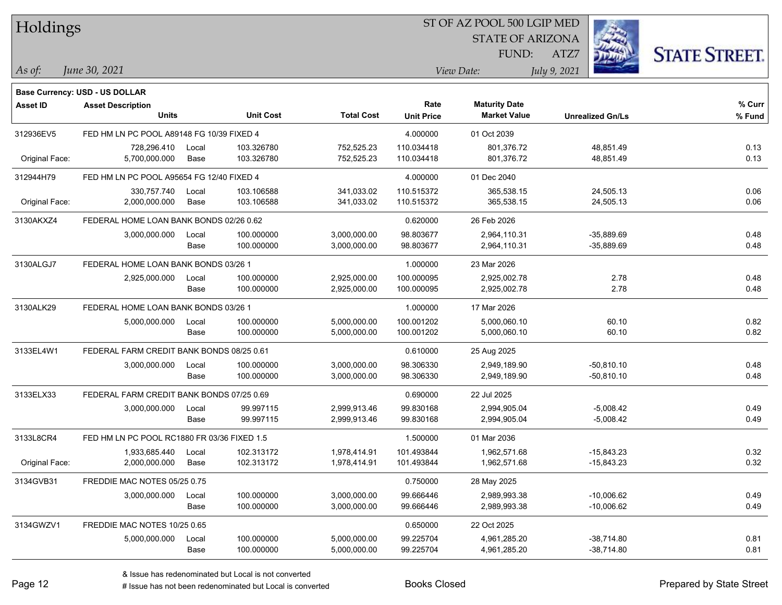| Holdings        |                                             |       |                  |                   |                   | 51 OF AZ POOL 500 LGIP MED |                         |                     |
|-----------------|---------------------------------------------|-------|------------------|-------------------|-------------------|----------------------------|-------------------------|---------------------|
|                 |                                             |       |                  |                   |                   | <b>STATE OF ARIZONA</b>    | Ź.                      |                     |
|                 |                                             |       |                  |                   |                   | FUND:                      | ATZ7                    | <b>STATE STREET</b> |
|                 | June 30, 2021                               |       |                  |                   |                   | View Date:                 |                         |                     |
| $As$ of:        |                                             |       |                  |                   |                   |                            | July 9, 2021            |                     |
|                 | Base Currency: USD - US DOLLAR              |       |                  |                   |                   |                            |                         |                     |
| <b>Asset ID</b> | <b>Asset Description</b>                    |       |                  |                   | Rate              | <b>Maturity Date</b>       |                         | % Curr              |
|                 | <b>Units</b>                                |       | <b>Unit Cost</b> | <b>Total Cost</b> | <b>Unit Price</b> | <b>Market Value</b>        | <b>Unrealized Gn/Ls</b> | % Fund              |
| 312936EV5       | FED HM LN PC POOL A89148 FG 10/39 FIXED 4   |       |                  |                   | 4.000000          | 01 Oct 2039                |                         |                     |
|                 | 728,296.410                                 | Local | 103.326780       | 752,525.23        | 110.034418        | 801,376.72                 | 48,851.49               | 0.13                |
| Original Face:  | 5,700,000.000                               | Base  | 103.326780       | 752,525.23        | 110.034418        | 801,376.72                 | 48,851.49               | 0.13                |
| 312944H79       | FED HM LN PC POOL A95654 FG 12/40 FIXED 4   |       |                  |                   | 4.000000          | 01 Dec 2040                |                         |                     |
|                 | 330,757.740                                 | Local | 103.106588       | 341,033.02        | 110.515372        | 365,538.15                 | 24,505.13               | 0.06                |
| Original Face:  | 2,000,000.000                               | Base  | 103.106588       | 341,033.02        | 110.515372        | 365,538.15                 | 24,505.13               | 0.06                |
| 3130AKXZ4       | FEDERAL HOME LOAN BANK BONDS 02/26 0.62     |       |                  |                   | 0.620000          | 26 Feb 2026                |                         |                     |
|                 | 3,000,000.000                               | Local | 100.000000       | 3,000,000.00      | 98.803677         | 2,964,110.31               | $-35,889.69$            | 0.48                |
|                 |                                             | Base  | 100.000000       | 3,000,000.00      | 98.803677         | 2,964,110.31               | $-35,889.69$            | 0.48                |
| 3130ALGJ7       | FEDERAL HOME LOAN BANK BONDS 03/26 1        |       |                  |                   | 1.000000          | 23 Mar 2026                |                         |                     |
|                 | 2,925,000.000                               | Local | 100.000000       | 2,925,000.00      | 100.000095        | 2,925,002.78               | 2.78                    | 0.48                |
|                 |                                             | Base  | 100.000000       | 2,925,000.00      | 100.000095        | 2,925,002.78               | 2.78                    | 0.48                |
| 3130ALK29       | FEDERAL HOME LOAN BANK BONDS 03/26 1        |       |                  |                   | 1.000000          | 17 Mar 2026                |                         |                     |
|                 | 5,000,000.000                               | Local | 100.000000       | 5,000,000.00      | 100.001202        | 5,000,060.10               | 60.10                   | 0.82                |
|                 |                                             | Base  | 100.000000       | 5,000,000.00      | 100.001202        | 5,000,060.10               | 60.10                   | 0.82                |
| 3133EL4W1       | FEDERAL FARM CREDIT BANK BONDS 08/25 0.61   |       |                  |                   | 0.610000          | 25 Aug 2025                |                         |                     |
|                 | 3,000,000.000                               | Local | 100.000000       | 3,000,000.00      | 98.306330         | 2,949,189.90               | $-50,810.10$            | 0.48                |
|                 |                                             | Base  | 100.000000       | 3,000,000.00      | 98.306330         | 2,949,189.90               | $-50,810.10$            | 0.48                |
| 3133ELX33       | FEDERAL FARM CREDIT BANK BONDS 07/25 0.69   |       |                  |                   | 0.690000          | 22 Jul 2025                |                         |                     |
|                 | 3,000,000.000                               | Local | 99.997115        | 2,999,913.46      | 99.830168         | 2,994,905.04               | $-5,008.42$             | 0.49                |
|                 |                                             | Base  | 99.997115        | 2,999,913.46      | 99.830168         | 2,994,905.04               | $-5,008.42$             | 0.49                |
| 3133L8CR4       | FED HM LN PC POOL RC1880 FR 03/36 FIXED 1.5 |       |                  |                   | 1.500000          | 01 Mar 2036                |                         |                     |
|                 | 1,933,685.440                               | Local | 102.313172       | 1,978,414.91      | 101.493844        | 1,962,571.68               | $-15,843.23$            | 0.32                |
| Original Face:  | 2,000,000.000                               | Base  | 102.313172       | 1,978,414.91      | 101.493844        | 1,962,571.68               | $-15,843.23$            | 0.32                |
| 3134GVB31       | FREDDIE MAC NOTES 05/25 0.75                |       |                  |                   | 0.750000          | 28 May 2025                |                         |                     |
|                 | 3,000,000.000                               | Local | 100.000000       | 3,000,000.00      | 99.666446         | 2,989,993.38               | $-10,006.62$            | 0.49                |
|                 |                                             | Base  | 100.000000       | 3,000,000.00      | 99.666446         | 2,989,993.38               | $-10,006.62$            | 0.49                |
| 3134GWZV1       | FREDDIE MAC NOTES 10/25 0.65                |       |                  |                   | 0.650000          | 22 Oct 2025                |                         |                     |
|                 | 5,000,000.000                               | Local | 100.000000       | 5,000,000.00      | 99.225704         | 4,961,285.20               | $-38,714.80$            | 0.81                |
|                 |                                             | Base  | 100.000000       | 5,000,000.00      | 99.225704         | 4,961,285.20               | $-38,714.80$            | 0.81                |

 $STOT$   $BT A Z DOQI$  500 LGIP MED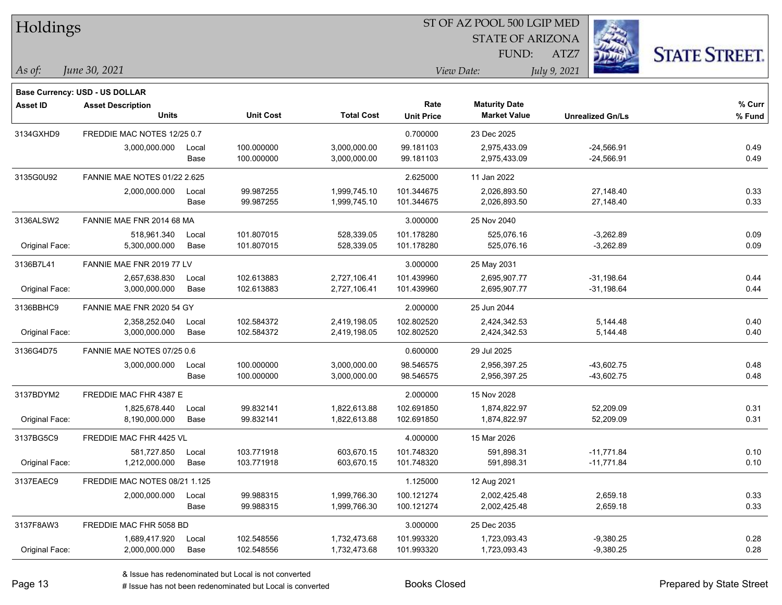| Holdings        |                                          |       |                  | ST OF AZ POOL 500 LGIP MED |                   |                                             |                         |                      |  |  |
|-----------------|------------------------------------------|-------|------------------|----------------------------|-------------------|---------------------------------------------|-------------------------|----------------------|--|--|
|                 |                                          |       |                  |                            |                   | <b>STATE OF ARIZONA</b>                     |                         |                      |  |  |
|                 |                                          |       |                  |                            |                   | FUND:                                       | ATZ7                    | <b>STATE STREET.</b> |  |  |
| As of:          | June 30, 2021                            |       |                  |                            |                   | View Date:                                  | July 9, 2021            |                      |  |  |
|                 |                                          |       |                  |                            |                   |                                             |                         |                      |  |  |
|                 | Base Currency: USD - US DOLLAR           |       |                  |                            |                   |                                             |                         |                      |  |  |
| <b>Asset ID</b> | <b>Asset Description</b><br><b>Units</b> |       | <b>Unit Cost</b> | <b>Total Cost</b>          | Rate              | <b>Maturity Date</b><br><b>Market Value</b> |                         | % Curr               |  |  |
|                 |                                          |       |                  |                            | <b>Unit Price</b> |                                             | <b>Unrealized Gn/Ls</b> | % Fund               |  |  |
| 3134GXHD9       | FREDDIE MAC NOTES 12/25 0.7              |       |                  |                            | 0.700000          | 23 Dec 2025                                 |                         |                      |  |  |
|                 | 3,000,000.000                            | Local | 100.000000       | 3,000,000.00               | 99.181103         | 2,975,433.09                                | $-24,566.91$            | 0.49                 |  |  |
|                 |                                          | Base  | 100.000000       | 3,000,000.00               | 99.181103         | 2,975,433.09                                | $-24,566.91$            | 0.49                 |  |  |
| 3135G0U92       | <b>FANNIE MAE NOTES 01/22 2.625</b>      |       |                  |                            | 2.625000          | 11 Jan 2022                                 |                         |                      |  |  |
|                 | 2,000,000.000                            | Local | 99.987255        | 1,999,745.10               | 101.344675        | 2,026,893.50                                | 27,148.40               | 0.33                 |  |  |
|                 |                                          | Base  | 99.987255        | 1,999,745.10               | 101.344675        | 2,026,893.50                                | 27,148.40               | 0.33                 |  |  |
| 3136ALSW2       | FANNIE MAE FNR 2014 68 MA                |       |                  |                            | 3.000000          | 25 Nov 2040                                 |                         |                      |  |  |
|                 | 518.961.340                              | Local | 101.807015       | 528,339.05                 | 101.178280        | 525,076.16                                  | $-3,262.89$             | 0.09                 |  |  |
| Original Face:  | 5,300,000.000                            | Base  | 101.807015       | 528,339.05                 | 101.178280        | 525,076.16                                  | $-3,262.89$             | 0.09                 |  |  |
| 3136B7L41       | FANNIE MAE FNR 2019 77 LV                |       |                  |                            | 3.000000          | 25 May 2031                                 |                         |                      |  |  |
|                 | 2,657,638.830                            | Local | 102.613883       | 2,727,106.41               | 101.439960        | 2,695,907.77                                | $-31,198.64$            | 0.44                 |  |  |
| Original Face:  | 3,000,000.000                            | Base  | 102.613883       | 2,727,106.41               | 101.439960        | 2,695,907.77                                | $-31,198.64$            | 0.44                 |  |  |
| 3136BBHC9       | FANNIE MAE FNR 2020 54 GY                |       |                  |                            | 2.000000          | 25 Jun 2044                                 |                         |                      |  |  |
|                 | 2,358,252.040                            | Local | 102.584372       | 2,419,198.05               | 102.802520        | 2,424,342.53                                | 5,144.48                | 0.40                 |  |  |
| Original Face:  | 3,000,000.000                            | Base  | 102.584372       | 2,419,198.05               | 102.802520        | 2,424,342.53                                | 5,144.48                | 0.40                 |  |  |
| 3136G4D75       | FANNIE MAE NOTES 07/25 0.6               |       |                  |                            | 0.600000          | 29 Jul 2025                                 |                         |                      |  |  |
|                 | 3,000,000.000                            | Local | 100.000000       | 3,000,000.00               | 98.546575         | 2,956,397.25                                | $-43,602.75$            | 0.48                 |  |  |
|                 |                                          | Base  | 100.000000       | 3,000,000.00               | 98.546575         | 2,956,397.25                                | $-43,602.75$            | 0.48                 |  |  |
| 3137BDYM2       | FREDDIE MAC FHR 4387 E                   |       |                  |                            | 2.000000          | 15 Nov 2028                                 |                         |                      |  |  |
|                 | 1,825,678.440                            | Local | 99.832141        | 1,822,613.88               | 102.691850        | 1,874,822.97                                | 52,209.09               | 0.31                 |  |  |
| Original Face:  | 8,190,000.000                            | Base  | 99.832141        | 1,822,613.88               | 102.691850        | 1,874,822.97                                | 52,209.09               | 0.31                 |  |  |
| 3137BG5C9       | FREDDIE MAC FHR 4425 VL                  |       |                  |                            | 4.000000          | 15 Mar 2026                                 |                         |                      |  |  |
|                 | 581,727.850                              | Local | 103.771918       | 603.670.15                 | 101.748320        | 591,898.31                                  | -11,771.84              | 0.10                 |  |  |
| Original Face:  | 1,212,000.000                            | Base  | 103.771918       | 603,670.15                 | 101.748320        | 591,898.31                                  | $-11,771.84$            | 0.10                 |  |  |
| 3137EAEC9       | FREDDIE MAC NOTES 08/21 1.125            |       |                  |                            | 1.125000          | 12 Aug 2021                                 |                         |                      |  |  |
|                 | 2,000,000.000                            | Local | 99.988315        | 1,999,766.30               | 100.121274        | 2,002,425.48                                | 2,659.18                | 0.33                 |  |  |
|                 |                                          | Base  | 99.988315        | 1,999,766.30               | 100.121274        | 2,002,425.48                                | 2,659.18                | 0.33                 |  |  |
| 3137F8AW3       | FREDDIE MAC FHR 5058 BD                  |       |                  |                            | 3.000000          | 25 Dec 2035                                 |                         |                      |  |  |
|                 | 1,689,417.920                            | Local | 102.548556       | 1,732,473.68               | 101.993320        | 1,723,093.43                                | $-9,380.25$             | 0.28                 |  |  |
| Original Face:  | 2,000,000.000                            | Base  | 102.548556       | 1,732,473.68               | 101.993320        | 1,723,093.43                                | $-9,380.25$             | 0.28                 |  |  |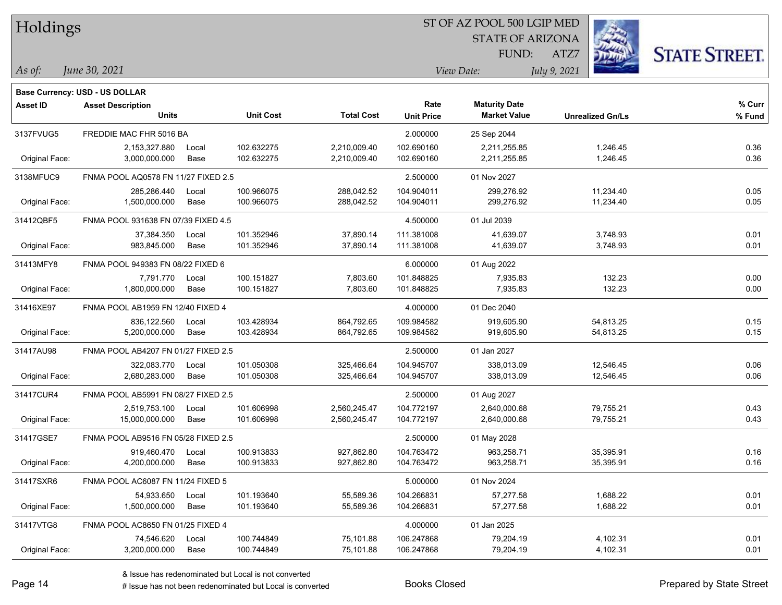| Holdings        |                                                                   |       |                  |                   |                   | ST OF AZ POOL 500 LGIP MED |                         |                      |
|-----------------|-------------------------------------------------------------------|-------|------------------|-------------------|-------------------|----------------------------|-------------------------|----------------------|
|                 |                                                                   |       |                  |                   |                   | <b>STATE OF ARIZONA</b>    |                         |                      |
|                 |                                                                   |       |                  |                   |                   | FUND:                      | ATZ7                    | <b>STATE STREET.</b> |
| As of:          | June 30, 2021                                                     |       |                  |                   |                   | View Date:                 | July 9, 2021            |                      |
|                 |                                                                   |       |                  |                   |                   |                            |                         |                      |
| <b>Asset ID</b> | <b>Base Currency: USD - US DOLLAR</b><br><b>Asset Description</b> |       |                  |                   | Rate              | <b>Maturity Date</b>       |                         | % Curr               |
|                 | <b>Units</b>                                                      |       | <b>Unit Cost</b> | <b>Total Cost</b> | <b>Unit Price</b> | <b>Market Value</b>        | <b>Unrealized Gn/Ls</b> | % Fund               |
| 3137FVUG5       | FREDDIE MAC FHR 5016 BA                                           |       |                  |                   | 2.000000          | 25 Sep 2044                |                         |                      |
|                 | 2,153,327.880                                                     | Local | 102.632275       | 2,210,009.40      | 102.690160        | 2,211,255.85               | 1,246.45                | 0.36                 |
| Original Face:  | 3,000,000.000                                                     | Base  | 102.632275       | 2,210,009.40      | 102.690160        | 2,211,255.85               | 1,246.45                | 0.36                 |
| 3138MFUC9       | FNMA POOL AQ0578 FN 11/27 FIXED 2.5                               |       |                  |                   | 2.500000          | 01 Nov 2027                |                         |                      |
|                 | 285,286.440                                                       | Local | 100.966075       | 288,042.52        | 104.904011        | 299,276.92                 | 11,234.40               | 0.05                 |
| Original Face:  | 1,500,000.000                                                     | Base  | 100.966075       | 288,042.52        | 104.904011        | 299,276.92                 | 11,234.40               | 0.05                 |
| 31412QBF5       | FNMA POOL 931638 FN 07/39 FIXED 4.5                               |       |                  |                   | 4.500000          | 01 Jul 2039                |                         |                      |
|                 | 37,384.350                                                        | Local | 101.352946       | 37,890.14         | 111.381008        | 41,639.07                  | 3,748.93                | 0.01                 |
| Original Face:  | 983,845.000                                                       | Base  | 101.352946       | 37,890.14         | 111.381008        | 41,639.07                  | 3,748.93                | 0.01                 |
| 31413MFY8       | FNMA POOL 949383 FN 08/22 FIXED 6                                 |       |                  |                   | 6.000000          | 01 Aug 2022                |                         |                      |
|                 | 7,791.770                                                         | Local | 100.151827       | 7,803.60          | 101.848825        | 7,935.83                   | 132.23                  | 0.00                 |
| Original Face:  | 1,800,000.000                                                     | Base  | 100.151827       | 7,803.60          | 101.848825        | 7,935.83                   | 132.23                  | 0.00                 |
| 31416XE97       | FNMA POOL AB1959 FN 12/40 FIXED 4                                 |       |                  |                   | 4.000000          | 01 Dec 2040                |                         |                      |
|                 | 836,122.560                                                       | Local | 103.428934       | 864,792.65        | 109.984582        | 919,605.90                 | 54,813.25               | 0.15                 |
| Original Face:  | 5,200,000.000                                                     | Base  | 103.428934       | 864,792.65        | 109.984582        | 919,605.90                 | 54,813.25               | 0.15                 |
| 31417AU98       | FNMA POOL AB4207 FN 01/27 FIXED 2.5                               |       |                  |                   | 2.500000          | 01 Jan 2027                |                         |                      |
|                 | 322,083.770                                                       | Local | 101.050308       | 325,466.64        | 104.945707        | 338,013.09                 | 12,546.45               | 0.06                 |
| Original Face:  | 2,680,283.000                                                     | Base  | 101.050308       | 325,466.64        | 104.945707        | 338,013.09                 | 12,546.45               | 0.06                 |
| 31417CUR4       | FNMA POOL AB5991 FN 08/27 FIXED 2.5                               |       |                  |                   | 2.500000          | 01 Aug 2027                |                         |                      |
|                 | 2,519,753.100                                                     | Local | 101.606998       | 2,560,245.47      | 104.772197        | 2,640,000.68               | 79,755.21               | 0.43                 |
| Original Face:  | 15,000,000.000                                                    | Base  | 101.606998       | 2,560,245.47      | 104.772197        | 2,640,000.68               | 79,755.21               | 0.43                 |
| 31417GSE7       | FNMA POOL AB9516 FN 05/28 FIXED 2.5                               |       |                  |                   | 2.500000          | 01 May 2028                |                         |                      |
|                 | 919,460.470 Local                                                 |       | 100.913833       | 927,862.80        | 104.763472        | 963,258.71                 | 35,395.91               | 0.16                 |
| Original Face:  | 4,200,000.000                                                     | Base  | 100.913833       | 927,862.80        | 104.763472        | 963,258.71                 | 35,395.91               | 0.16                 |
| 31417SXR6       | FNMA POOL AC6087 FN 11/24 FIXED 5                                 |       |                  |                   | 5.000000          | 01 Nov 2024                |                         |                      |
|                 | 54,933.650                                                        | Local | 101.193640       | 55,589.36         | 104.266831        | 57,277.58                  | 1,688.22                | 0.01                 |
| Original Face:  | 1,500,000.000                                                     | Base  | 101.193640       | 55,589.36         | 104.266831        | 57,277.58                  | 1,688.22                | 0.01                 |
| 31417VTG8       | FNMA POOL AC8650 FN 01/25 FIXED 4                                 |       |                  |                   | 4.000000          | 01 Jan 2025                |                         |                      |
|                 | 74,546.620                                                        | Local | 100.744849       | 75,101.88         | 106.247868        | 79,204.19                  | 4,102.31                | 0.01                 |
| Original Face:  | 3,200,000.000                                                     | Base  | 100.744849       | 75,101.88         | 106.247868        | 79,204.19                  | 4,102.31                | 0.01                 |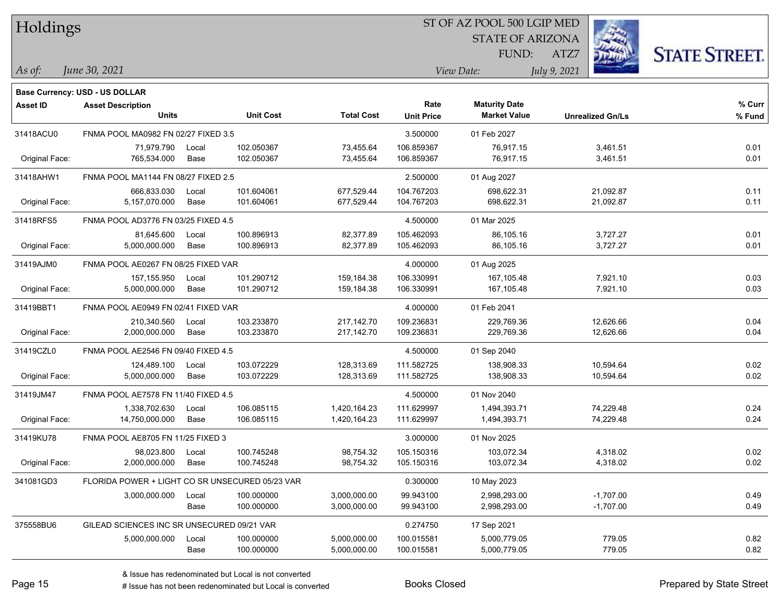| Holdings        |                                                            |       |                  |                   |                   | ST OF AZ POOL 500 LGIP MED |                         |             |                      |
|-----------------|------------------------------------------------------------|-------|------------------|-------------------|-------------------|----------------------------|-------------------------|-------------|----------------------|
|                 |                                                            |       |                  |                   |                   | <b>STATE OF ARIZONA</b>    |                         |             |                      |
|                 |                                                            |       |                  |                   |                   | FUND:                      | ATZ7                    |             | <b>STATE STREET.</b> |
| As of:          | June 30, 2021                                              |       |                  |                   |                   | View Date:                 | July 9, 2021            |             |                      |
|                 |                                                            |       |                  |                   |                   |                            |                         |             |                      |
| <b>Asset ID</b> | Base Currency: USD - US DOLLAR<br><b>Asset Description</b> |       |                  |                   | Rate              | <b>Maturity Date</b>       |                         |             | % Curr               |
|                 | <b>Units</b>                                               |       | <b>Unit Cost</b> | <b>Total Cost</b> | <b>Unit Price</b> | <b>Market Value</b>        | <b>Unrealized Gn/Ls</b> |             | % Fund               |
| 31418ACU0       | FNMA POOL MA0982 FN 02/27 FIXED 3.5                        |       |                  |                   | 3.500000          | 01 Feb 2027                |                         |             |                      |
|                 | 71,979.790                                                 | Local | 102.050367       | 73,455.64         | 106.859367        | 76,917.15                  |                         | 3,461.51    | 0.01                 |
| Original Face:  | 765,534.000                                                | Base  | 102.050367       | 73,455.64         | 106.859367        | 76,917.15                  |                         | 3,461.51    | 0.01                 |
| 31418AHW1       | FNMA POOL MA1144 FN 08/27 FIXED 2.5                        |       |                  |                   | 2.500000          | 01 Aug 2027                |                         |             |                      |
|                 | 666,833.030                                                | Local | 101.604061       | 677,529.44        | 104.767203        | 698,622.31                 |                         | 21,092.87   | 0.11                 |
| Original Face:  | 5,157,070.000                                              | Base  | 101.604061       | 677,529.44        | 104.767203        | 698,622.31                 |                         | 21,092.87   | 0.11                 |
| 31418RFS5       | FNMA POOL AD3776 FN 03/25 FIXED 4.5                        |       |                  |                   | 4.500000          | 01 Mar 2025                |                         |             |                      |
|                 | 81,645.600                                                 | Local | 100.896913       | 82,377.89         | 105.462093        | 86,105.16                  |                         | 3,727.27    | 0.01                 |
| Original Face:  | 5,000,000.000                                              | Base  | 100.896913       | 82,377.89         | 105.462093        | 86,105.16                  |                         | 3,727.27    | 0.01                 |
| 31419AJM0       | FNMA POOL AE0267 FN 08/25 FIXED VAR                        |       |                  |                   | 4.000000          | 01 Aug 2025                |                         |             |                      |
|                 | 157, 155.950                                               | Local | 101.290712       | 159,184.38        | 106.330991        | 167,105.48                 |                         | 7,921.10    | 0.03                 |
| Original Face:  | 5,000,000.000                                              | Base  | 101.290712       | 159,184.38        | 106.330991        | 167,105.48                 |                         | 7,921.10    | 0.03                 |
| 31419BBT1       | FNMA POOL AE0949 FN 02/41 FIXED VAR                        |       |                  |                   | 4.000000          | 01 Feb 2041                |                         |             |                      |
|                 | 210,340.560                                                | Local | 103.233870       | 217,142.70        | 109.236831        | 229,769.36                 |                         | 12,626.66   | 0.04                 |
| Original Face:  | 2,000,000.000                                              | Base  | 103.233870       | 217,142.70        | 109.236831        | 229,769.36                 |                         | 12,626.66   | 0.04                 |
| 31419CZL0       | FNMA POOL AE2546 FN 09/40 FIXED 4.5                        |       |                  |                   | 4.500000          | 01 Sep 2040                |                         |             |                      |
|                 | 124,489.100                                                | Local | 103.072229       | 128,313.69        | 111.582725        | 138,908.33                 |                         | 10,594.64   | 0.02                 |
| Original Face:  | 5,000,000.000                                              | Base  | 103.072229       | 128,313.69        | 111.582725        | 138,908.33                 |                         | 10,594.64   | 0.02                 |
| 31419JM47       | FNMA POOL AE7578 FN 11/40 FIXED 4.5                        |       |                  |                   | 4.500000          | 01 Nov 2040                |                         |             |                      |
|                 | 1,338,702.630                                              | Local | 106.085115       | 1,420,164.23      | 111.629997        | 1,494,393.71               |                         | 74,229.48   | 0.24                 |
| Original Face:  | 14,750,000.000                                             | Base  | 106.085115       | 1,420,164.23      | 111.629997        | 1,494,393.71               |                         | 74,229.48   | 0.24                 |
| 31419KU78       | FNMA POOL AE8705 FN 11/25 FIXED 3                          |       |                  |                   | 3.000000          | 01 Nov 2025                |                         |             |                      |
|                 | 98,023.800                                                 | Local | 100.745248       | 98,754.32         | 105.150316        | 103,072.34                 |                         | 4,318.02    | 0.02                 |
| Original Face:  | 2,000,000.000                                              | Base  | 100.745248       | 98,754.32         | 105.150316        | 103,072.34                 |                         | 4,318.02    | 0.02                 |
| 341081GD3       | FLORIDA POWER + LIGHT CO SR UNSECURED 05/23 VAR            |       |                  |                   | 0.300000          | 10 May 2023                |                         |             |                      |
|                 | 3,000,000.000                                              | Local | 100.000000       | 3,000,000.00      | 99.943100         | 2,998,293.00               |                         | $-1,707.00$ | 0.49                 |
|                 |                                                            | Base  | 100.000000       | 3,000,000.00      | 99.943100         | 2,998,293.00               |                         | $-1,707.00$ | 0.49                 |
| 375558BU6       | GILEAD SCIENCES INC SR UNSECURED 09/21 VAR                 |       |                  |                   | 0.274750          | 17 Sep 2021                |                         |             |                      |
|                 | 5,000,000.000                                              | Local | 100.000000       | 5,000,000.00      | 100.015581        | 5,000,779.05               |                         | 779.05      | 0.82                 |
|                 |                                                            | Base  | 100.000000       | 5,000,000.00      | 100.015581        | 5,000,779.05               |                         | 779.05      | 0.82                 |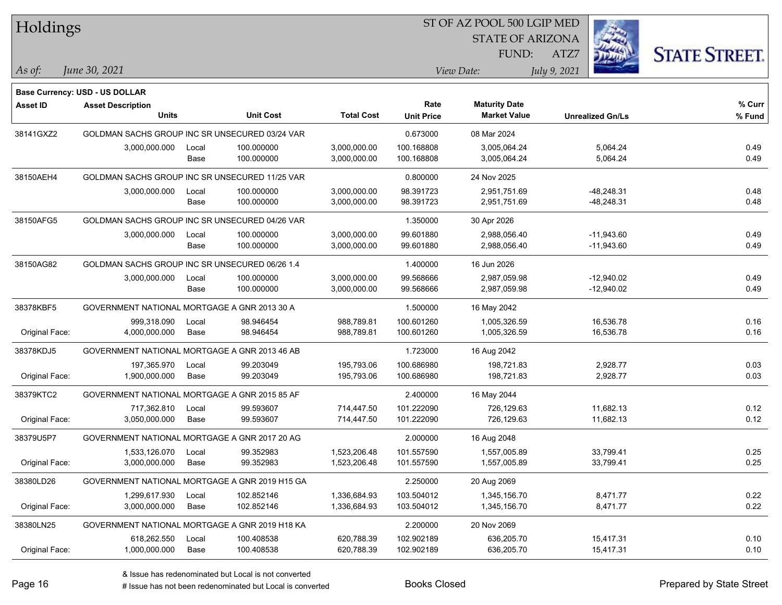| Holdings        |                                                |       |                  |                   | ST OF AZ POOL 500 LGIP MED |                         |              |                         |                      |
|-----------------|------------------------------------------------|-------|------------------|-------------------|----------------------------|-------------------------|--------------|-------------------------|----------------------|
|                 |                                                |       |                  |                   |                            | <b>STATE OF ARIZONA</b> |              |                         |                      |
|                 |                                                |       |                  |                   |                            | FUND:                   | ATZ7         |                         | <b>STATE STREET.</b> |
| As of:          | June 30, 2021                                  |       |                  |                   |                            | View Date:              | July 9, 2021 |                         |                      |
|                 | Base Currency: USD - US DOLLAR                 |       |                  |                   |                            |                         |              |                         |                      |
| <b>Asset ID</b> | <b>Asset Description</b>                       |       |                  |                   | Rate                       | <b>Maturity Date</b>    |              |                         | % Curr               |
|                 | <b>Units</b>                                   |       | <b>Unit Cost</b> | <b>Total Cost</b> | <b>Unit Price</b>          | <b>Market Value</b>     |              | <b>Unrealized Gn/Ls</b> | % Fund               |
| 38141GXZ2       | GOLDMAN SACHS GROUP INC SR UNSECURED 03/24 VAR |       |                  |                   | 0.673000                   | 08 Mar 2024             |              |                         |                      |
|                 | 3,000,000.000                                  | Local | 100.000000       | 3,000,000.00      | 100.168808                 | 3,005,064.24            |              | 5,064.24                | 0.49                 |
|                 |                                                | Base  | 100.000000       | 3,000,000.00      | 100.168808                 | 3,005,064.24            |              | 5,064.24                | 0.49                 |
| 38150AEH4       | GOLDMAN SACHS GROUP INC SR UNSECURED 11/25 VAR |       |                  |                   | 0.800000                   | 24 Nov 2025             |              |                         |                      |
|                 | 3,000,000.000                                  | Local | 100.000000       | 3,000,000.00      | 98.391723                  | 2,951,751.69            |              | $-48,248.31$            | 0.48                 |
|                 |                                                | Base  | 100.000000       | 3,000,000.00      | 98.391723                  | 2,951,751.69            |              | -48,248.31              | 0.48                 |
| 38150AFG5       | GOLDMAN SACHS GROUP INC SR UNSECURED 04/26 VAR |       |                  |                   | 1.350000                   | 30 Apr 2026             |              |                         |                      |
|                 | 3,000,000.000                                  | Local | 100.000000       | 3,000,000.00      | 99.601880                  | 2,988,056.40            |              | $-11,943.60$            | 0.49                 |
|                 |                                                | Base  | 100.000000       | 3,000,000.00      | 99.601880                  | 2,988,056.40            |              | $-11,943.60$            | 0.49                 |
| 38150AG82       | GOLDMAN SACHS GROUP INC SR UNSECURED 06/26 1.4 |       |                  |                   | 1.400000                   | 16 Jun 2026             |              |                         |                      |
|                 | 3,000,000.000                                  | Local | 100.000000       | 3,000,000.00      | 99.568666                  | 2,987,059.98            |              | $-12,940.02$            | 0.49                 |
|                 |                                                | Base  | 100.000000       | 3,000,000.00      | 99.568666                  | 2,987,059.98            |              | $-12,940.02$            | 0.49                 |
| 38378KBF5       | GOVERNMENT NATIONAL MORTGAGE A GNR 2013 30 A   |       |                  |                   | 1.500000                   | 16 May 2042             |              |                         |                      |
|                 | 999,318.090                                    | Local | 98.946454        | 988,789.81        | 100.601260                 | 1,005,326.59            |              | 16,536.78               | 0.16                 |
| Original Face:  | 4,000,000.000                                  | Base  | 98.946454        | 988,789.81        | 100.601260                 | 1,005,326.59            |              | 16,536.78               | 0.16                 |
| 38378KDJ5       | GOVERNMENT NATIONAL MORTGAGE A GNR 2013 46 AB  |       |                  |                   | 1.723000                   | 16 Aug 2042             |              |                         |                      |
|                 | 197,365.970                                    | Local | 99.203049        | 195,793.06        | 100.686980                 | 198,721.83              |              | 2,928.77                | 0.03                 |
| Original Face:  | 1,900,000.000                                  | Base  | 99.203049        | 195,793.06        | 100.686980                 | 198,721.83              |              | 2,928.77                | 0.03                 |
| 38379KTC2       | GOVERNMENT NATIONAL MORTGAGE A GNR 2015 85 AF  |       |                  |                   | 2.400000                   | 16 May 2044             |              |                         |                      |
|                 | 717,362.810                                    | Local | 99.593607        | 714,447.50        | 101.222090                 | 726,129.63              |              | 11,682.13               | 0.12                 |
| Original Face:  | 3,050,000.000                                  | Base  | 99.593607        | 714,447.50        | 101.222090                 | 726,129.63              |              | 11,682.13               | 0.12                 |
| 38379U5P7       | GOVERNMENT NATIONAL MORTGAGE A GNR 2017 20 AG  |       |                  |                   | 2.000000                   | 16 Aug 2048             |              |                         |                      |
|                 | 1,533,126.070                                  | Local | 99.352983        | 1,523,206.48      | 101.557590                 | 1,557,005.89            |              | 33,799.41               | 0.25                 |
| Original Face:  | 3,000,000.000                                  | Base  | 99.352983        | 1,523,206.48      | 101.557590                 | 1,557,005.89            |              | 33,799.41               | 0.25                 |
| 38380LD26       | GOVERNMENT NATIONAL MORTGAGE A GNR 2019 H15 GA |       |                  |                   | 2.250000                   | 20 Aug 2069             |              |                         |                      |
|                 | 1,299,617.930                                  | Local | 102.852146       | 1,336,684.93      | 103.504012                 | 1,345,156.70            |              | 8,471.77                | 0.22                 |
| Original Face:  | 3,000,000.000                                  | Base  | 102.852146       | 1,336,684.93      | 103.504012                 | 1,345,156.70            |              | 8,471.77                | 0.22                 |
| 38380LN25       | GOVERNMENT NATIONAL MORTGAGE A GNR 2019 H18 KA |       |                  |                   | 2.200000                   | 20 Nov 2069             |              |                         |                      |
|                 | 618,262.550                                    | Local | 100.408538       | 620,788.39        | 102.902189                 | 636,205.70              |              | 15,417.31               | 0.10                 |
| Original Face:  | 1,000,000.000                                  | Base  | 100.408538       | 620,788.39        | 102.902189                 | 636,205.70              |              | 15,417.31               | 0.10                 |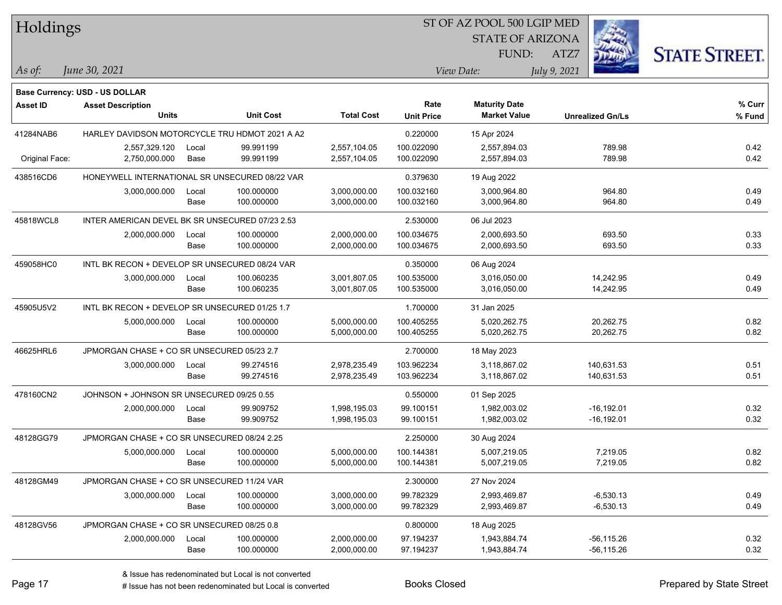| Holdings        |                                                 |       |                  |                   |                   |                         |                         |                      |
|-----------------|-------------------------------------------------|-------|------------------|-------------------|-------------------|-------------------------|-------------------------|----------------------|
|                 |                                                 |       |                  |                   |                   | <b>STATE OF ARIZONA</b> |                         |                      |
|                 |                                                 |       |                  |                   |                   | FUND:                   | ATZ7                    | <b>STATE STREET.</b> |
| As of:          | June 30, 2021                                   |       |                  |                   |                   | View Date:              | July 9, 2021            |                      |
|                 | <b>Base Currency: USD - US DOLLAR</b>           |       |                  |                   |                   |                         |                         |                      |
| <b>Asset ID</b> | <b>Asset Description</b>                        |       |                  |                   | Rate              | <b>Maturity Date</b>    |                         | % Curr               |
|                 | <b>Units</b>                                    |       | <b>Unit Cost</b> | <b>Total Cost</b> | <b>Unit Price</b> | <b>Market Value</b>     | <b>Unrealized Gn/Ls</b> | % Fund               |
| 41284NAB6       | HARLEY DAVIDSON MOTORCYCLE TRU HDMOT 2021 A A2  |       |                  |                   | 0.220000          | 15 Apr 2024             |                         |                      |
|                 | 2,557,329.120                                   | Local | 99.991199        | 2,557,104.05      | 100.022090        | 2,557,894.03            | 789.98                  | 0.42                 |
| Original Face:  | 2,750,000.000                                   | Base  | 99.991199        | 2,557,104.05      | 100.022090        | 2,557,894.03            | 789.98                  | 0.42                 |
| 438516CD6       | HONEYWELL INTERNATIONAL SR UNSECURED 08/22 VAR  |       |                  |                   | 0.379630          | 19 Aug 2022             |                         |                      |
|                 | 3,000,000.000                                   | Local | 100.000000       | 3,000,000.00      | 100.032160        | 3,000,964.80            | 964.80                  | 0.49                 |
|                 |                                                 | Base  | 100.000000       | 3,000,000.00      | 100.032160        | 3,000,964.80            | 964.80                  | 0.49                 |
| 45818WCL8       | INTER AMERICAN DEVEL BK SR UNSECURED 07/23 2.53 |       |                  |                   | 2.530000          | 06 Jul 2023             |                         |                      |
|                 | 2,000,000.000                                   | Local | 100.000000       | 2,000,000.00      | 100.034675        | 2,000,693.50            | 693.50                  | 0.33                 |
|                 |                                                 | Base  | 100.000000       | 2,000,000.00      | 100.034675        | 2,000,693.50            | 693.50                  | 0.33                 |
| 459058HC0       | INTL BK RECON + DEVELOP SR UNSECURED 08/24 VAR  |       |                  |                   | 0.350000          | 06 Aug 2024             |                         |                      |
|                 | 3,000,000.000                                   | Local | 100.060235       | 3,001,807.05      | 100.535000        | 3,016,050.00            | 14,242.95               | 0.49                 |
|                 |                                                 | Base  | 100.060235       | 3,001,807.05      | 100.535000        | 3,016,050.00            | 14,242.95               | 0.49                 |
| 45905U5V2       | INTL BK RECON + DEVELOP SR UNSECURED 01/25 1.7  |       |                  |                   | 1.700000          | 31 Jan 2025             |                         |                      |
|                 | 5,000,000.000                                   | Local | 100.000000       | 5,000,000.00      | 100.405255        | 5,020,262.75            | 20,262.75               | 0.82                 |
|                 |                                                 | Base  | 100.000000       | 5,000,000.00      | 100.405255        | 5,020,262.75            | 20,262.75               | 0.82                 |
| 46625HRL6       | JPMORGAN CHASE + CO SR UNSECURED 05/23 2.7      |       |                  |                   | 2.700000          | 18 May 2023             |                         |                      |
|                 | 3,000,000.000                                   | Local | 99.274516        | 2,978,235.49      | 103.962234        | 3,118,867.02            | 140,631.53              | 0.51                 |
|                 |                                                 | Base  | 99.274516        | 2,978,235.49      | 103.962234        | 3,118,867.02            | 140,631.53              | 0.51                 |
| 478160CN2       | JOHNSON + JOHNSON SR UNSECURED 09/25 0.55       |       |                  |                   | 0.550000          | 01 Sep 2025             |                         |                      |
|                 | 2,000,000.000                                   | Local | 99.909752        | 1,998,195.03      | 99.100151         | 1,982,003.02            | $-16, 192.01$           | 0.32                 |
|                 |                                                 | Base  | 99.909752        | 1,998,195.03      | 99.100151         | 1,982,003.02            | $-16, 192.01$           | 0.32                 |
| 48128GG79       | JPMORGAN CHASE + CO SR UNSECURED 08/24 2.25     |       |                  |                   | 2.250000          | 30 Aug 2024             |                         |                      |
|                 | 5,000,000.000                                   | Local | 100.000000       | 5,000,000.00      | 100.144381        | 5,007,219.05            | 7,219.05                | 0.82                 |
|                 |                                                 | Base  | 100.000000       | 5,000,000.00      | 100.144381        | 5,007,219.05            | 7,219.05                | 0.82                 |
| 48128GM49       | JPMORGAN CHASE + CO SR UNSECURED 11/24 VAR      |       |                  |                   | 2.300000          | 27 Nov 2024             |                         |                      |
|                 | 3,000,000.000                                   | Local | 100.000000       | 3,000,000.00      | 99.782329         | 2,993,469.87            | $-6,530.13$             | 0.49                 |
|                 |                                                 | Base  | 100.000000       | 3,000,000.00      | 99.782329         | 2,993,469.87            | $-6,530.13$             | 0.49                 |
| 48128GV56       | JPMORGAN CHASE + CO SR UNSECURED 08/25 0.8      |       |                  |                   | 0.800000          | 18 Aug 2025             |                         |                      |
|                 | 2,000,000.000                                   | Local | 100.000000       | 2,000,000.00      | 97.194237         | 1,943,884.74            | $-56, 115.26$           | 0.32                 |
|                 |                                                 | Base  | 100.000000       | 2,000,000.00      | 97.194237         | 1,943,884.74            | $-56, 115.26$           | 0.32                 |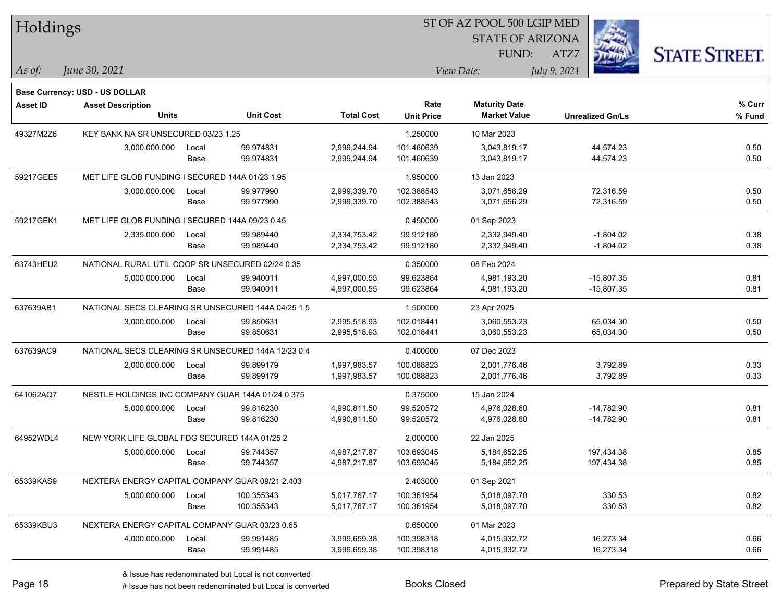| Holdings        |                                                    |               |                        |                              |                           |                                             |              |                         |                      |
|-----------------|----------------------------------------------------|---------------|------------------------|------------------------------|---------------------------|---------------------------------------------|--------------|-------------------------|----------------------|
|                 |                                                    |               |                        |                              |                           | <b>STATE OF ARIZONA</b>                     |              |                         |                      |
|                 |                                                    |               |                        |                              |                           | FUND:                                       | ATZ7         |                         | <b>STATE STREET.</b> |
| As of:          | June 30, 2021                                      |               |                        |                              |                           | View Date:                                  | July 9, 2021 |                         |                      |
|                 |                                                    |               |                        |                              |                           |                                             |              |                         |                      |
|                 | Base Currency: USD - US DOLLAR                     |               |                        |                              |                           |                                             |              |                         |                      |
| <b>Asset ID</b> | <b>Asset Description</b><br><b>Units</b>           |               | <b>Unit Cost</b>       | <b>Total Cost</b>            | Rate<br><b>Unit Price</b> | <b>Maturity Date</b><br><b>Market Value</b> |              | <b>Unrealized Gn/Ls</b> | % Curr<br>% Fund     |
|                 |                                                    |               |                        |                              |                           |                                             |              |                         |                      |
| 49327M2Z6       | KEY BANK NA SR UNSECURED 03/23 1.25                |               |                        |                              | 1.250000                  | 10 Mar 2023                                 |              |                         |                      |
|                 | 3,000,000.000                                      | Local<br>Base | 99.974831<br>99.974831 | 2,999,244.94<br>2,999,244.94 | 101.460639<br>101.460639  | 3,043,819.17<br>3,043,819.17                |              | 44,574.23<br>44,574.23  | 0.50<br>0.50         |
|                 |                                                    |               |                        |                              |                           |                                             |              |                         |                      |
| 59217GEE5       | MET LIFE GLOB FUNDING I SECURED 144A 01/23 1.95    |               |                        |                              | 1.950000                  | 13 Jan 2023                                 |              |                         |                      |
|                 | 3,000,000.000                                      | Local         | 99.977990              | 2,999,339.70                 | 102.388543                | 3,071,656.29                                |              | 72,316.59               | 0.50                 |
|                 |                                                    | Base          | 99.977990              | 2,999,339.70                 | 102.388543                | 3,071,656.29                                |              | 72,316.59               | 0.50                 |
| 59217GEK1       | MET LIFE GLOB FUNDING I SECURED 144A 09/23 0.45    |               |                        |                              | 0.450000                  | 01 Sep 2023                                 |              |                         |                      |
|                 | 2,335,000.000                                      | Local         | 99.989440              | 2,334,753.42                 | 99.912180                 | 2,332,949.40                                |              | $-1,804.02$             | 0.38                 |
|                 |                                                    | Base          | 99.989440              | 2,334,753.42                 | 99.912180                 | 2,332,949.40                                |              | $-1,804.02$             | 0.38                 |
| 63743HEU2       | NATIONAL RURAL UTIL COOP SR UNSECURED 02/24 0.35   |               |                        |                              | 0.350000                  | 08 Feb 2024                                 |              |                         |                      |
|                 | 5,000,000.000                                      | Local         | 99.940011              | 4,997,000.55                 | 99.623864                 | 4,981,193.20                                |              | $-15,807.35$            | 0.81                 |
|                 |                                                    | Base          | 99.940011              | 4,997,000.55                 | 99.623864                 | 4,981,193.20                                |              | $-15,807.35$            | 0.81                 |
| 637639AB1       | NATIONAL SECS CLEARING SR UNSECURED 144A 04/25 1.5 |               |                        |                              | 1.500000                  | 23 Apr 2025                                 |              |                         |                      |
|                 | 3,000,000.000                                      | Local         | 99.850631              | 2,995,518.93                 | 102.018441                | 3,060,553.23                                |              | 65,034.30               | 0.50                 |
|                 |                                                    | Base          | 99.850631              | 2,995,518.93                 | 102.018441                | 3,060,553.23                                |              | 65,034.30               | 0.50                 |
| 637639AC9       | NATIONAL SECS CLEARING SR UNSECURED 144A 12/23 0.4 |               |                        |                              | 0.400000                  | 07 Dec 2023                                 |              |                         |                      |
|                 | 2,000,000.000                                      | Local         | 99.899179              | 1,997,983.57                 | 100.088823                | 2,001,776.46                                |              | 3,792.89                | 0.33                 |
|                 |                                                    | Base          | 99.899179              | 1,997,983.57                 | 100.088823                | 2,001,776.46                                |              | 3,792.89                | 0.33                 |
| 641062AQ7       | NESTLE HOLDINGS INC COMPANY GUAR 144A 01/24 0.375  |               |                        |                              | 0.375000                  | 15 Jan 2024                                 |              |                         |                      |
|                 | 5,000,000.000                                      | Local         | 99.816230              | 4,990,811.50                 | 99.520572                 | 4,976,028.60                                |              | $-14,782.90$            | 0.81                 |
|                 |                                                    | Base          | 99.816230              | 4,990,811.50                 | 99.520572                 | 4,976,028.60                                |              | $-14,782.90$            | 0.81                 |
| 64952WDL4       | NEW YORK LIFE GLOBAL FDG SECURED 144A 01/25 2      |               |                        |                              | 2.000000                  | 22 Jan 2025                                 |              |                         |                      |
|                 | 5,000,000.000                                      | Local         | 99.744357              | 4,987,217.87                 | 103.693045                | 5, 184, 652. 25                             |              | 197,434.38              | 0.85                 |
|                 |                                                    | Base          | 99.744357              | 4,987,217.87                 | 103.693045                | 5,184,652.25                                |              | 197,434.38              | 0.85                 |
| 65339KAS9       | NEXTERA ENERGY CAPITAL COMPANY GUAR 09/21 2.403    |               |                        |                              | 2.403000                  | 01 Sep 2021                                 |              |                         |                      |
|                 | 5,000,000.000                                      | Local         | 100.355343             | 5,017,767.17                 | 100.361954                | 5,018,097.70                                |              | 330.53                  | 0.82                 |
|                 |                                                    | Base          | 100.355343             | 5,017,767.17                 | 100.361954                | 5,018,097.70                                |              | 330.53                  | 0.82                 |
| 65339KBU3       | NEXTERA ENERGY CAPITAL COMPANY GUAR 03/23 0.65     |               |                        |                              | 0.650000                  | 01 Mar 2023                                 |              |                         |                      |
|                 | 4,000,000.000                                      | Local         | 99.991485              | 3,999,659.38                 | 100.398318                | 4,015,932.72                                |              | 16,273.34               | 0.66                 |
|                 |                                                    | Base          | 99.991485              | 3,999,659.38                 | 100.398318                | 4,015,932.72                                |              | 16,273.34               | 0.66                 |
|                 |                                                    |               |                        |                              |                           |                                             |              |                         |                      |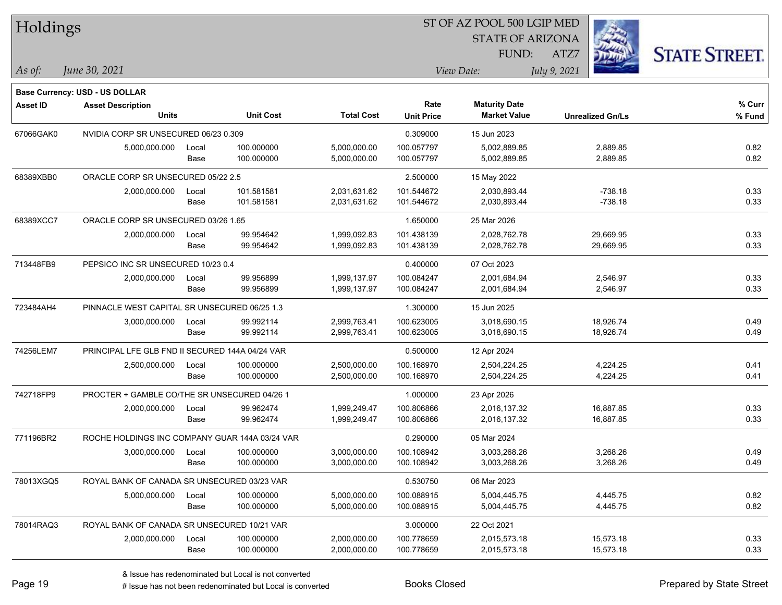| Holdings        |                                                 |       |                  | ST OF AZ POOL 500 LGIP MED |                   |                         |              |                         |                      |
|-----------------|-------------------------------------------------|-------|------------------|----------------------------|-------------------|-------------------------|--------------|-------------------------|----------------------|
|                 |                                                 |       |                  |                            |                   | <b>STATE OF ARIZONA</b> |              |                         |                      |
|                 |                                                 |       |                  |                            |                   | FUND:                   | ATZ7         |                         | <b>STATE STREET.</b> |
| As of:          | June 30, 2021                                   |       |                  |                            |                   | View Date:              | July 9, 2021 |                         |                      |
|                 | <b>Base Currency: USD - US DOLLAR</b>           |       |                  |                            |                   |                         |              |                         |                      |
| <b>Asset ID</b> | <b>Asset Description</b>                        |       |                  |                            | Rate              | <b>Maturity Date</b>    |              |                         | % Curr               |
|                 | <b>Units</b>                                    |       | <b>Unit Cost</b> | <b>Total Cost</b>          | <b>Unit Price</b> | <b>Market Value</b>     |              | <b>Unrealized Gn/Ls</b> | % Fund               |
| 67066GAK0       | NVIDIA CORP SR UNSECURED 06/23 0.309            |       |                  |                            | 0.309000          | 15 Jun 2023             |              |                         |                      |
|                 | 5,000,000.000                                   | Local | 100.000000       | 5,000,000.00               | 100.057797        | 5,002,889.85            |              | 2,889.85                | 0.82                 |
|                 |                                                 | Base  | 100.000000       | 5,000,000.00               | 100.057797        | 5,002,889.85            |              | 2,889.85                | 0.82                 |
| 68389XBB0       | ORACLE CORP SR UNSECURED 05/22 2.5              |       |                  |                            | 2.500000          | 15 May 2022             |              |                         |                      |
|                 | 2,000,000.000                                   | Local | 101.581581       | 2,031,631.62               | 101.544672        | 2,030,893.44            |              | $-738.18$               | 0.33                 |
|                 |                                                 | Base  | 101.581581       | 2,031,631.62               | 101.544672        | 2,030,893.44            |              | $-738.18$               | 0.33                 |
| 68389XCC7       | ORACLE CORP SR UNSECURED 03/26 1.65             |       |                  |                            | 1.650000          | 25 Mar 2026             |              |                         |                      |
|                 | 2,000,000.000                                   | Local | 99.954642        | 1,999,092.83               | 101.438139        | 2,028,762.78            |              | 29,669.95               | 0.33                 |
|                 |                                                 | Base  | 99.954642        | 1,999,092.83               | 101.438139        | 2,028,762.78            |              | 29,669.95               | 0.33                 |
| 713448FB9       | PEPSICO INC SR UNSECURED 10/23 0.4              |       |                  |                            | 0.400000          | 07 Oct 2023             |              |                         |                      |
|                 | 2,000,000.000                                   | Local | 99.956899        | 1,999,137.97               | 100.084247        | 2,001,684.94            |              | 2,546.97                | 0.33                 |
|                 |                                                 | Base  | 99.956899        | 1,999,137.97               | 100.084247        | 2,001,684.94            |              | 2,546.97                | 0.33                 |
| 723484AH4       | PINNACLE WEST CAPITAL SR UNSECURED 06/25 1.3    |       |                  |                            | 1.300000          | 15 Jun 2025             |              |                         |                      |
|                 | 3,000,000.000                                   | Local | 99.992114        | 2,999,763.41               | 100.623005        | 3,018,690.15            |              | 18,926.74               | 0.49                 |
|                 |                                                 | Base  | 99.992114        | 2,999,763.41               | 100.623005        | 3,018,690.15            |              | 18,926.74               | 0.49                 |
| 74256LEM7       | PRINCIPAL LFE GLB FND II SECURED 144A 04/24 VAR |       |                  |                            | 0.500000          | 12 Apr 2024             |              |                         |                      |
|                 | 2,500,000.000                                   | Local | 100.000000       | 2,500,000.00               | 100.168970        | 2,504,224.25            |              | 4,224.25                | 0.41                 |
|                 |                                                 | Base  | 100.000000       | 2,500,000.00               | 100.168970        | 2,504,224.25            |              | 4,224.25                | 0.41                 |
| 742718FP9       | PROCTER + GAMBLE CO/THE SR UNSECURED 04/26 1    |       |                  |                            | 1.000000          | 23 Apr 2026             |              |                         |                      |
|                 | 2,000,000.000                                   | Local | 99.962474        | 1,999,249.47               | 100.806866        | 2,016,137.32            |              | 16,887.85               | 0.33                 |
|                 |                                                 | Base  | 99.962474        | 1,999,249.47               | 100.806866        | 2,016,137.32            |              | 16,887.85               | 0.33                 |
| 771196BR2       | ROCHE HOLDINGS INC COMPANY GUAR 144A 03/24 VAR  |       |                  |                            | 0.290000          | 05 Mar 2024             |              |                         |                      |
|                 | 3,000,000.000 Local                             |       | 100.000000       | 3,000,000.00               | 100.108942        | 3,003,268.26            |              | 3,268.26                | 0.49                 |
|                 |                                                 | Base  | 100.000000       | 3,000,000.00               | 100.108942        | 3,003,268.26            |              | 3,268.26                | 0.49                 |
| 78013XGQ5       | ROYAL BANK OF CANADA SR UNSECURED 03/23 VAR     |       |                  |                            | 0.530750          | 06 Mar 2023             |              |                         |                      |
|                 | 5,000,000.000                                   | Local | 100.000000       | 5,000,000.00               | 100.088915        | 5,004,445.75            |              | 4,445.75                | 0.82                 |
|                 |                                                 | Base  | 100.000000       | 5,000,000.00               | 100.088915        | 5,004,445.75            |              | 4,445.75                | 0.82                 |
| 78014RAQ3       | ROYAL BANK OF CANADA SR UNSECURED 10/21 VAR     |       |                  |                            | 3.000000          | 22 Oct 2021             |              |                         |                      |
|                 | 2,000,000.000                                   | Local | 100.000000       | 2,000,000.00               | 100.778659        | 2,015,573.18            |              | 15,573.18               | 0.33                 |
|                 |                                                 | Base  | 100.000000       | 2,000,000.00               | 100.778659        | 2,015,573.18            |              | 15,573.18               | 0.33                 |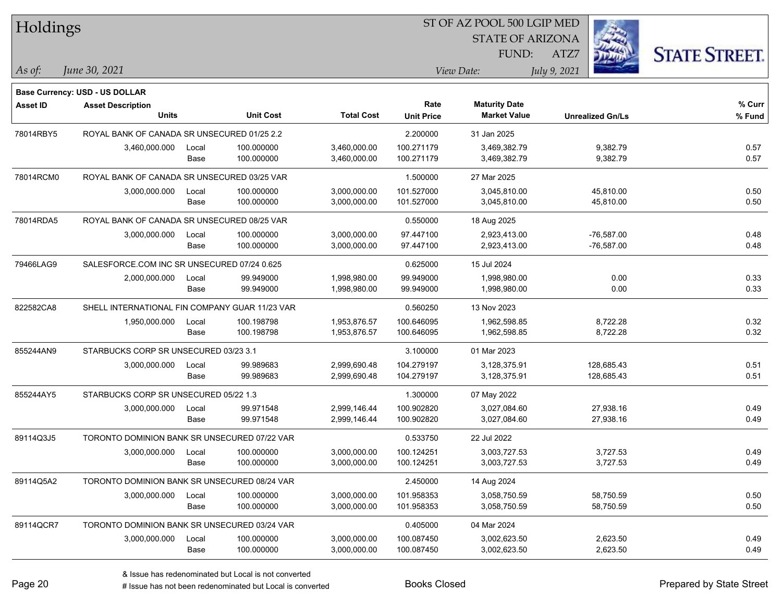| Holdings        |                                                |       |                  |                   |                   | 51 OF AZ POOL 500 LGIP MED |                         |                      |
|-----------------|------------------------------------------------|-------|------------------|-------------------|-------------------|----------------------------|-------------------------|----------------------|
|                 |                                                |       |                  |                   |                   | <b>STATE OF ARIZONA</b>    |                         |                      |
|                 |                                                |       |                  |                   |                   | FUND:                      | ATZ7                    | <b>STATE STREET.</b> |
| $As$ of:        | June 30, 2021                                  |       |                  |                   |                   | View Date:                 | July 9, 2021            |                      |
|                 | <b>Base Currency: USD - US DOLLAR</b>          |       |                  |                   |                   |                            |                         |                      |
| <b>Asset ID</b> | <b>Asset Description</b>                       |       |                  |                   | Rate              | <b>Maturity Date</b>       |                         | % Curr               |
|                 | <b>Units</b>                                   |       | <b>Unit Cost</b> | <b>Total Cost</b> | <b>Unit Price</b> | <b>Market Value</b>        | <b>Unrealized Gn/Ls</b> | % Fund               |
| 78014RBY5       | ROYAL BANK OF CANADA SR UNSECURED 01/25 2.2    |       |                  |                   | 2.200000          | 31 Jan 2025                |                         |                      |
|                 | 3,460,000.000                                  | Local | 100.000000       | 3,460,000.00      | 100.271179        | 3,469,382.79               | 9,382.79                | 0.57                 |
|                 |                                                | Base  | 100.000000       | 3,460,000.00      | 100.271179        | 3,469,382.79               | 9,382.79                | 0.57                 |
| 78014RCM0       | ROYAL BANK OF CANADA SR UNSECURED 03/25 VAR    |       |                  |                   | 1.500000          | 27 Mar 2025                |                         |                      |
|                 | 3,000,000.000                                  | Local | 100.000000       | 3,000,000.00      | 101.527000        | 3,045,810.00               | 45,810.00               | 0.50                 |
|                 |                                                | Base  | 100.000000       | 3,000,000.00      | 101.527000        | 3,045,810.00               | 45,810.00               | 0.50                 |
| 78014RDA5       | ROYAL BANK OF CANADA SR UNSECURED 08/25 VAR    |       |                  |                   | 0.550000          | 18 Aug 2025                |                         |                      |
|                 | 3,000,000.000                                  | Local | 100.000000       | 3,000,000.00      | 97.447100         | 2,923,413.00               | $-76,587.00$            | 0.48                 |
|                 |                                                | Base  | 100.000000       | 3,000,000.00      | 97.447100         | 2,923,413.00               | $-76,587.00$            | 0.48                 |
| 79466LAG9       | SALESFORCE.COM INC SR UNSECURED 07/24 0.625    |       |                  |                   | 0.625000          | 15 Jul 2024                |                         |                      |
|                 | 2,000,000.000                                  | Local | 99.949000        | 1,998,980.00      | 99.949000         | 1,998,980.00               | 0.00                    | 0.33                 |
|                 |                                                | Base  | 99.949000        | 1,998,980.00      | 99.949000         | 1,998,980.00               | 0.00                    | 0.33                 |
| 822582CA8       | SHELL INTERNATIONAL FIN COMPANY GUAR 11/23 VAR |       |                  |                   | 0.560250          | 13 Nov 2023                |                         |                      |
|                 | 1,950,000.000                                  | Local | 100.198798       | 1,953,876.57      | 100.646095        | 1,962,598.85               | 8,722.28                | 0.32                 |
|                 |                                                | Base  | 100.198798       | 1,953,876.57      | 100.646095        | 1,962,598.85               | 8,722.28                | 0.32                 |
| 855244AN9       | STARBUCKS CORP SR UNSECURED 03/23 3.1          |       |                  |                   | 3.100000          | 01 Mar 2023                |                         |                      |
|                 | 3,000,000.000                                  | Local | 99.989683        | 2,999,690.48      | 104.279197        | 3,128,375.91               | 128,685.43              | 0.51                 |
|                 |                                                | Base  | 99.989683        | 2,999,690.48      | 104.279197        | 3,128,375.91               | 128,685.43              | 0.51                 |
| 855244AY5       | STARBUCKS CORP SR UNSECURED 05/22 1.3          |       |                  |                   | 1.300000          | 07 May 2022                |                         |                      |
|                 | 3,000,000.000                                  | Local | 99.971548        | 2,999,146.44      | 100.902820        | 3,027,084.60               | 27,938.16               | 0.49                 |
|                 |                                                | Base  | 99.971548        | 2,999,146.44      | 100.902820        | 3,027,084.60               | 27,938.16               | 0.49                 |
| 89114Q3J5       | TORONTO DOMINION BANK SR UNSECURED 07/22 VAR   |       |                  |                   | 0.533750          | 22 Jul 2022                |                         |                      |
|                 | 3,000,000.000                                  | Local | 100.000000       | 3,000,000.00      | 100.124251        | 3,003,727.53               | 3,727.53                | 0.49                 |
|                 |                                                | Base  | 100.000000       | 3,000,000.00      | 100.124251        | 3,003,727.53               | 3,727.53                | 0.49                 |
| 89114Q5A2       | TORONTO DOMINION BANK SR UNSECURED 08/24 VAR   |       |                  |                   | 2.450000          | 14 Aug 2024                |                         |                      |
|                 | 3,000,000.000                                  | Local | 100.000000       | 3,000,000.00      | 101.958353        | 3,058,750.59               | 58,750.59               | 0.50                 |
|                 |                                                | Base  | 100.000000       | 3,000,000.00      | 101.958353        | 3,058,750.59               | 58,750.59               | 0.50                 |
| 89114QCR7       | TORONTO DOMINION BANK SR UNSECURED 03/24 VAR   |       |                  |                   | 0.405000          | 04 Mar 2024                |                         |                      |
|                 | 3,000,000.000                                  | Local | 100.000000       | 3,000,000.00      | 100.087450        | 3,002,623.50               | 2,623.50                | 0.49                 |
|                 |                                                | Base  | 100.000000       | 3,000,000.00      | 100.087450        | 3,002,623.50               | 2,623.50                | 0.49                 |
|                 |                                                |       |                  |                   |                   |                            |                         |                      |

 $\overline{B}$   $\overline{B}$   $\overline{B}$   $\overline{B}$   $\overline{C}$   $\overline{D}$   $\overline{D}$   $\overline{D}$   $\overline{D}$   $\overline{D}$   $\overline{D}$   $\overline{D}$   $\overline{D}$   $\overline{D}$   $\overline{D}$   $\overline{D}$   $\overline{D}$   $\overline{D}$   $\overline{D}$   $\overline{D}$   $\overline{D}$   $\overline{D}$   $\overline{D}$   $\overline{D}$   $\overline{$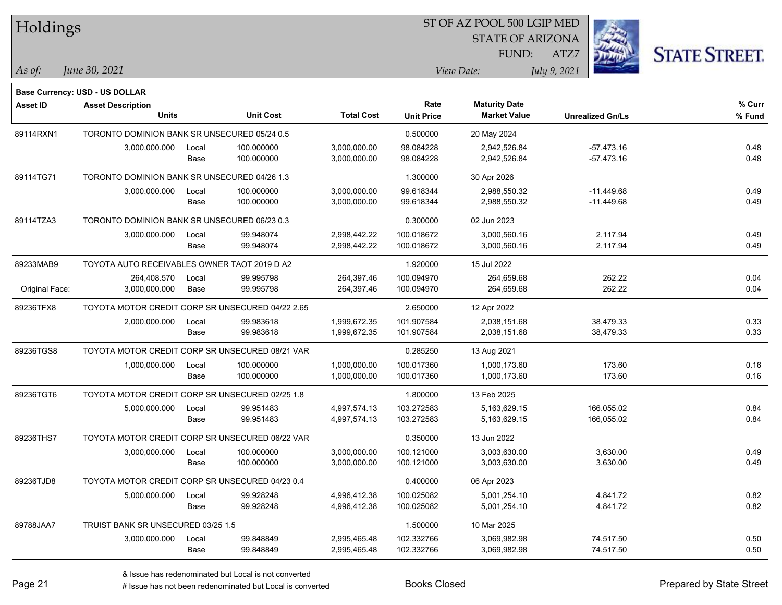| Holdings        |                                                  |       |                  |                   |                   | 51 OF AZ POOL 500 LGIP MED |                         |                      |
|-----------------|--------------------------------------------------|-------|------------------|-------------------|-------------------|----------------------------|-------------------------|----------------------|
|                 |                                                  |       |                  |                   |                   | <b>STATE OF ARIZONA</b>    | Ż.                      |                      |
|                 |                                                  |       |                  |                   |                   | FUND:                      | ATZ7                    | <b>STATE STREET.</b> |
| As of:          | June 30, 2021                                    |       |                  |                   |                   | View Date:                 | July 9, 2021            |                      |
|                 |                                                  |       |                  |                   |                   |                            |                         |                      |
|                 | <b>Base Currency: USD - US DOLLAR</b>            |       |                  |                   |                   |                            |                         |                      |
| <b>Asset ID</b> | <b>Asset Description</b>                         |       |                  |                   | Rate              | <b>Maturity Date</b>       |                         | % Curr               |
|                 | <b>Units</b>                                     |       | <b>Unit Cost</b> | <b>Total Cost</b> | <b>Unit Price</b> | <b>Market Value</b>        | <b>Unrealized Gn/Ls</b> | % Fund               |
| 89114RXN1       | TORONTO DOMINION BANK SR UNSECURED 05/24 0.5     |       |                  |                   | 0.500000          | 20 May 2024                |                         |                      |
|                 | 3,000,000.000                                    | Local | 100.000000       | 3,000,000.00      | 98.084228         | 2,942,526.84               | $-57,473.16$            | 0.48                 |
|                 |                                                  | Base  | 100.000000       | 3,000,000.00      | 98.084228         | 2,942,526.84               | $-57,473.16$            | 0.48                 |
| 89114TG71       | TORONTO DOMINION BANK SR UNSECURED 04/26 1.3     |       |                  |                   | 1.300000          | 30 Apr 2026                |                         |                      |
|                 | 3,000,000.000                                    | Local | 100.000000       | 3,000,000.00      | 99.618344         | 2,988,550.32               | $-11,449.68$            | 0.49                 |
|                 |                                                  | Base  | 100.000000       | 3,000,000.00      | 99.618344         | 2,988,550.32               | $-11,449.68$            | 0.49                 |
| 89114TZA3       | TORONTO DOMINION BANK SR UNSECURED 06/23 0.3     |       |                  |                   | 0.300000          | 02 Jun 2023                |                         |                      |
|                 | 3,000,000.000                                    | Local | 99.948074        | 2,998,442.22      | 100.018672        | 3,000,560.16               | 2,117.94                | 0.49                 |
|                 |                                                  | Base  | 99.948074        | 2,998,442.22      | 100.018672        | 3,000,560.16               | 2,117.94                | 0.49                 |
| 89233MAB9       | TOYOTA AUTO RECEIVABLES OWNER TAOT 2019 D A2     |       |                  |                   | 1.920000          | 15 Jul 2022                |                         |                      |
|                 | 264,408.570                                      | Local | 99.995798        | 264,397.46        | 100.094970        | 264,659.68                 | 262.22                  | 0.04                 |
| Original Face:  | 3,000,000.000                                    | Base  | 99.995798        | 264,397.46        | 100.094970        | 264,659.68                 | 262.22                  | 0.04                 |
| 89236TFX8       | TOYOTA MOTOR CREDIT CORP SR UNSECURED 04/22 2.65 |       |                  |                   | 2.650000          | 12 Apr 2022                |                         |                      |
|                 | 2,000,000.000                                    | Local | 99.983618        | 1,999,672.35      | 101.907584        | 2,038,151.68               | 38,479.33               | 0.33                 |
|                 |                                                  | Base  | 99.983618        | 1,999,672.35      | 101.907584        | 2,038,151.68               | 38,479.33               | 0.33                 |
| 89236TGS8       | TOYOTA MOTOR CREDIT CORP SR UNSECURED 08/21 VAR  |       |                  |                   | 0.285250          | 13 Aug 2021                |                         |                      |
|                 | 1,000,000.000                                    | Local | 100.000000       | 1,000,000.00      | 100.017360        | 1,000,173.60               | 173.60                  | 0.16                 |
|                 |                                                  | Base  | 100.000000       | 1,000,000.00      | 100.017360        | 1,000,173.60               | 173.60                  | 0.16                 |
| 89236TGT6       | TOYOTA MOTOR CREDIT CORP SR UNSECURED 02/25 1.8  |       |                  |                   | 1.800000          | 13 Feb 2025                |                         |                      |
|                 | 5,000,000.000                                    | Local | 99.951483        | 4,997,574.13      | 103.272583        | 5,163,629.15               | 166,055.02              | 0.84                 |
|                 |                                                  | Base  | 99.951483        | 4,997,574.13      | 103.272583        | 5,163,629.15               | 166,055.02              | 0.84                 |
| 89236THS7       | TOYOTA MOTOR CREDIT CORP SR UNSECURED 06/22 VAR  |       |                  |                   | 0.350000          | 13 Jun 2022                |                         |                      |
|                 | 3,000,000.000                                    | Local | 100.000000       | 3,000,000.00      | 100.121000        | 3,003,630.00               | 3,630.00                | 0.49                 |
|                 |                                                  | Base  | 100.000000       | 3,000,000.00      | 100.121000        | 3,003,630.00               | 3,630.00                | 0.49                 |
| 89236TJD8       | TOYOTA MOTOR CREDIT CORP SR UNSECURED 04/23 0.4  |       |                  |                   | 0.400000          | 06 Apr 2023                |                         |                      |
|                 | 5,000,000.000                                    | Local | 99.928248        | 4,996,412.38      | 100.025082        | 5,001,254.10               | 4,841.72                | 0.82                 |
|                 |                                                  | Base  | 99.928248        | 4,996,412.38      | 100.025082        | 5,001,254.10               | 4,841.72                | 0.82                 |
| 89788JAA7       | TRUIST BANK SR UNSECURED 03/25 1.5               |       |                  |                   | 1.500000          | 10 Mar 2025                |                         |                      |
|                 | 3,000,000.000                                    | Local | 99.848849        | 2,995,465.48      | 102.332766        | 3,069,982.98               | 74,517.50               | 0.50                 |
|                 |                                                  | Base  | 99.848849        | 2,995,465.48      | 102.332766        | 3,069,982.98               | 74,517.50               | 0.50                 |

 $\overline{B}$   $\overline{B}$   $\overline{B}$   $\overline{B}$   $\overline{C}$   $\overline{D}$   $\overline{D}$   $\overline{D}$   $\overline{D}$   $\overline{D}$   $\overline{D}$   $\overline{D}$   $\overline{D}$   $\overline{D}$   $\overline{D}$   $\overline{D}$   $\overline{D}$   $\overline{D}$   $\overline{D}$   $\overline{D}$   $\overline{D}$   $\overline{D}$   $\overline{D}$   $\overline{D}$   $\overline{$ 

# Issue has not been redenominated but Local is converted Books Closed Prepared by State Street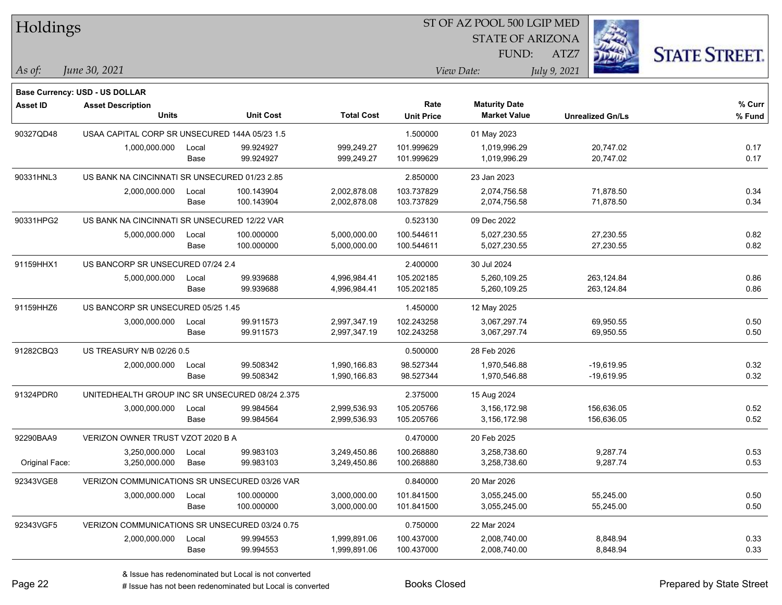| Holdings<br><b>STATE OF ARIZONA</b><br><b>STATE STREET.</b><br>FUND:<br>ATZ7<br>As of:<br>June 30, 2021<br>View Date:<br>July 9, 2021<br><b>Base Currency: USD - US DOLLAR</b><br>Rate<br><b>Maturity Date</b><br><b>Asset ID</b><br><b>Asset Description</b><br><b>Units</b><br><b>Unit Cost</b><br><b>Total Cost</b><br><b>Market Value</b><br><b>Unit Price</b><br><b>Unrealized Gn/Ls</b> | % Curr<br>% Fund<br>0.17<br>0.17<br>0.34<br>0.34 |
|-----------------------------------------------------------------------------------------------------------------------------------------------------------------------------------------------------------------------------------------------------------------------------------------------------------------------------------------------------------------------------------------------|--------------------------------------------------|
|                                                                                                                                                                                                                                                                                                                                                                                               |                                                  |
|                                                                                                                                                                                                                                                                                                                                                                                               |                                                  |
|                                                                                                                                                                                                                                                                                                                                                                                               |                                                  |
|                                                                                                                                                                                                                                                                                                                                                                                               |                                                  |
|                                                                                                                                                                                                                                                                                                                                                                                               |                                                  |
|                                                                                                                                                                                                                                                                                                                                                                                               |                                                  |
| 90327QD48<br>USAA CAPITAL CORP SR UNSECURED 144A 05/23 1.5<br>1.500000<br>01 May 2023                                                                                                                                                                                                                                                                                                         |                                                  |
| 99.924927<br>999,249.27<br>101.999629<br>20,747.02<br>1,000,000.000<br>1,019,996.29<br>Local                                                                                                                                                                                                                                                                                                  |                                                  |
| 99.924927<br>999,249.27<br>101.999629<br>1,019,996.29<br>20,747.02<br>Base                                                                                                                                                                                                                                                                                                                    |                                                  |
| US BANK NA CINCINNATI SR UNSECURED 01/23 2.85<br>2.850000<br>90331HNL3<br>23 Jan 2023                                                                                                                                                                                                                                                                                                         |                                                  |
| 2,000,000.000<br>100.143904<br>2,002,878.08<br>103.737829<br>2,074,756.58<br>71,878.50<br>Local                                                                                                                                                                                                                                                                                               |                                                  |
| Base<br>100.143904<br>2,002,878.08<br>103.737829<br>2,074,756.58<br>71,878.50                                                                                                                                                                                                                                                                                                                 |                                                  |
| 90331HPG2<br>US BANK NA CINCINNATI SR UNSECURED 12/22 VAR<br>0.523130<br>09 Dec 2022                                                                                                                                                                                                                                                                                                          |                                                  |
| 100.000000<br>5,000,000.00<br>100.544611<br>5,027,230.55<br>27,230.55<br>5,000,000.000<br>Local                                                                                                                                                                                                                                                                                               | 0.82                                             |
| 100.000000<br>5,027,230.55<br>27,230.55<br>Base<br>5,000,000.00<br>100.544611                                                                                                                                                                                                                                                                                                                 | 0.82                                             |
| US BANCORP SR UNSECURED 07/24 2.4<br>91159HHX1<br>2.400000<br>30 Jul 2024                                                                                                                                                                                                                                                                                                                     |                                                  |
| 263,124.84<br>99.939688<br>4,996,984.41<br>105.202185<br>5,000,000.000<br>5,260,109.25<br>Local                                                                                                                                                                                                                                                                                               | 0.86                                             |
| 99.939688<br>4,996,984.41<br>105.202185<br>5,260,109.25<br>263,124.84<br>Base                                                                                                                                                                                                                                                                                                                 | 0.86                                             |
| US BANCORP SR UNSECURED 05/25 1.45<br>91159HHZ6<br>1.450000<br>12 May 2025                                                                                                                                                                                                                                                                                                                    |                                                  |
| 3,000,000.000<br>99.911573<br>2,997,347.19<br>102.243258<br>3,067,297.74<br>69,950.55<br>Local                                                                                                                                                                                                                                                                                                | 0.50                                             |
| 99.911573<br>102.243258<br>3,067,297.74<br>69,950.55<br>Base<br>2,997,347.19                                                                                                                                                                                                                                                                                                                  | 0.50                                             |
| 91282CBQ3<br>US TREASURY N/B 02/26 0.5<br>0.500000<br>28 Feb 2026                                                                                                                                                                                                                                                                                                                             |                                                  |
| 99.508342<br>1,990,166.83<br>98.527344<br>1,970,546.88<br>$-19,619.95$<br>2,000,000.000<br>Local                                                                                                                                                                                                                                                                                              | 0.32                                             |
| 99.508342<br>98.527344<br>1,970,546.88<br>Base<br>1,990,166.83<br>$-19,619.95$                                                                                                                                                                                                                                                                                                                | 0.32                                             |
| 91324PDR0<br>UNITEDHEALTH GROUP INC SR UNSECURED 08/24 2.375<br>2.375000<br>15 Aug 2024                                                                                                                                                                                                                                                                                                       |                                                  |
| 99.984564<br>2,999,536.93<br>105.205766<br>3,156,172.98<br>156,636.05<br>3,000,000.000<br>Local                                                                                                                                                                                                                                                                                               | 0.52                                             |
| 99.984564<br>105.205766<br>3,156,172.98<br>156,636.05<br>Base<br>2,999,536.93                                                                                                                                                                                                                                                                                                                 | 0.52                                             |
| VERIZON OWNER TRUST VZOT 2020 B A<br>92290BAA9<br>0.470000<br>20 Feb 2025                                                                                                                                                                                                                                                                                                                     |                                                  |
| 3,250,000.000<br>99.983103<br>3,249,450.86<br>3,258,738.60<br>9,287.74<br>100.268880<br>Local                                                                                                                                                                                                                                                                                                 | 0.53                                             |
| Original Face:<br>3,250,000.000<br>Base<br>99.983103<br>3,249,450.86<br>100.268880<br>3,258,738.60<br>9,287.74                                                                                                                                                                                                                                                                                | 0.53                                             |
| 92343VGE8<br>0.840000<br>VERIZON COMMUNICATIONS SR UNSECURED 03/26 VAR<br>20 Mar 2026                                                                                                                                                                                                                                                                                                         |                                                  |
| 3,000,000.000<br>100.000000<br>3,000,000.00<br>101.841500<br>3,055,245.00<br>55,245.00<br>Local                                                                                                                                                                                                                                                                                               | 0.50                                             |
| Base<br>100.000000<br>101.841500<br>55,245.00<br>3,000,000.00<br>3,055,245.00                                                                                                                                                                                                                                                                                                                 | 0.50                                             |
| 92343VGF5<br>VERIZON COMMUNICATIONS SR UNSECURED 03/24 0.75<br>0.750000<br>22 Mar 2024                                                                                                                                                                                                                                                                                                        |                                                  |
| 100.437000<br>99.994553<br>1,999,891.06<br>2,008,740.00<br>8,848.94<br>2,000,000.000<br>Local                                                                                                                                                                                                                                                                                                 | 0.33                                             |
| 100.437000<br>8,848.94<br>Base<br>99.994553<br>1,999,891.06<br>2,008,740.00                                                                                                                                                                                                                                                                                                                   | 0.33                                             |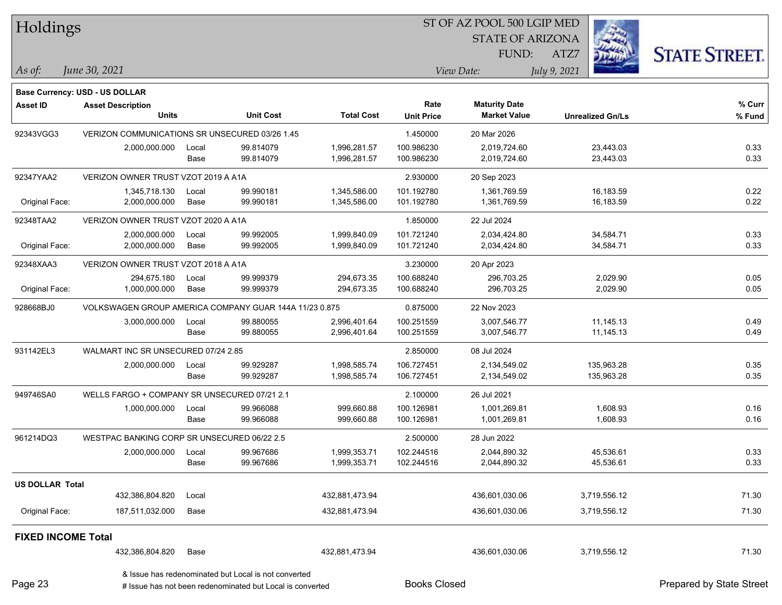| Holdings                  |                                                        |       |                  |                   |                   | ST OF AZ POOL 500 LGIP MED |                         |                      |
|---------------------------|--------------------------------------------------------|-------|------------------|-------------------|-------------------|----------------------------|-------------------------|----------------------|
|                           |                                                        |       |                  |                   |                   | <b>STATE OF ARIZONA</b>    |                         |                      |
|                           |                                                        |       |                  |                   |                   | FUND:                      | ATZ7                    | <b>STATE STREET.</b> |
| As of:                    | June 30, 2021                                          |       |                  |                   |                   | View Date:                 | July 9, 2021            |                      |
|                           | Base Currency: USD - US DOLLAR                         |       |                  |                   |                   |                            |                         |                      |
| <b>Asset ID</b>           | <b>Asset Description</b>                               |       |                  |                   | Rate              | <b>Maturity Date</b>       |                         | % Curr               |
|                           | <b>Units</b>                                           |       | <b>Unit Cost</b> | <b>Total Cost</b> | <b>Unit Price</b> | <b>Market Value</b>        | <b>Unrealized Gn/Ls</b> | $%$ Fund             |
| 92343VGG3                 | VERIZON COMMUNICATIONS SR UNSECURED 03/26 1.45         |       |                  |                   | 1.450000          | 20 Mar 2026                |                         |                      |
|                           | 2,000,000.000                                          | Local | 99.814079        | 1,996,281.57      | 100.986230        | 2,019,724.60               | 23,443.03               | 0.33                 |
|                           |                                                        | Base  | 99.814079        | 1,996,281.57      | 100.986230        | 2,019,724.60               | 23,443.03               | 0.33                 |
| 92347YAA2                 | VERIZON OWNER TRUST VZOT 2019 A A1A                    |       |                  |                   | 2.930000          | 20 Sep 2023                |                         |                      |
|                           | 1,345,718.130                                          | Local | 99.990181        | 1,345,586.00      | 101.192780        | 1,361,769.59               | 16,183.59               | 0.22                 |
| Original Face:            | 2,000,000.000                                          | Base  | 99.990181        | 1,345,586.00      | 101.192780        | 1,361,769.59               | 16,183.59               | 0.22                 |
| 92348TAA2                 | VERIZON OWNER TRUST VZOT 2020 A A1A                    |       |                  |                   | 1.850000          | 22 Jul 2024                |                         |                      |
|                           | 2,000,000.000                                          | Local | 99.992005        | 1,999,840.09      | 101.721240        | 2,034,424.80               | 34,584.71               | 0.33                 |
| Original Face:            | 2,000,000.000                                          | Base  | 99.992005        | 1,999,840.09      | 101.721240        | 2,034,424.80               | 34,584.71               | 0.33                 |
| 92348XAA3                 | VERIZON OWNER TRUST VZOT 2018 A A1A                    |       |                  |                   | 3.230000          | 20 Apr 2023                |                         |                      |
|                           | 294.675.180                                            | Local | 99.999379        | 294,673.35        | 100.688240        | 296,703.25                 | 2,029.90                | 0.05                 |
| Original Face:            | 1,000,000.000                                          | Base  | 99.999379        | 294,673.35        | 100.688240        | 296,703.25                 | 2,029.90                | 0.05                 |
| 928668BJ0                 | VOLKSWAGEN GROUP AMERICA COMPANY GUAR 144A 11/23 0.875 |       |                  |                   | 0.875000          | 22 Nov 2023                |                         |                      |
|                           | 3,000,000.000                                          | Local | 99.880055        | 2,996,401.64      | 100.251559        | 3,007,546.77               | 11,145.13               | 0.49                 |
|                           |                                                        | Base  | 99.880055        | 2,996,401.64      | 100.251559        | 3,007,546.77               | 11,145.13               | 0.49                 |
| 931142EL3                 | WALMART INC SR UNSECURED 07/24 2.85                    |       |                  |                   | 2.850000          | 08 Jul 2024                |                         |                      |
|                           | 2,000,000.000                                          | Local | 99.929287        | 1,998,585.74      | 106.727451        | 2,134,549.02               | 135,963.28              | 0.35                 |
|                           |                                                        | Base  | 99.929287        | 1,998,585.74      | 106.727451        | 2,134,549.02               | 135,963.28              | 0.35                 |
| 949746SA0                 | WELLS FARGO + COMPANY SR UNSECURED 07/21 2.1           |       |                  |                   | 2.100000          | 26 Jul 2021                |                         |                      |
|                           | 1,000,000.000                                          | Local | 99.966088        | 999,660.88        | 100.126981        | 1,001,269.81               | 1,608.93                | 0.16                 |
|                           |                                                        | Base  | 99.966088        | 999,660.88        | 100.126981        | 1,001,269.81               | 1,608.93                | 0.16                 |
| 961214DQ3                 | WESTPAC BANKING CORP SR UNSECURED 06/22 2.5            |       |                  |                   | 2.500000          | 28 Jun 2022                |                         |                      |
|                           | 2,000,000.000                                          | Local | 99.967686        | 1,999,353.71      | 102.244516        | 2,044,890.32               | 45,536.61               | 0.33                 |
|                           |                                                        | Base  | 99.967686        | 1,999,353.71      | 102.244516        | 2,044,890.32               | 45,536.61               | 0.33                 |
| US DOLLAR Total           |                                                        |       |                  |                   |                   |                            |                         |                      |
|                           | 432,386,804.820                                        | Local |                  | 432,881,473.94    |                   | 436,601,030.06             | 3,719,556.12            | 71.30                |
| Original Face:            | 187,511,032.000                                        | Base  |                  | 432,881,473.94    |                   | 436,601,030.06             | 3,719,556.12            | 71.30                |
| <b>FIXED INCOME Total</b> |                                                        |       |                  |                   |                   |                            |                         |                      |
|                           | 432,386,804.820                                        | Base  |                  | 432,881,473.94    |                   | 436,601,030.06             | 3,719,556.12            | 71.30                |
|                           |                                                        |       |                  |                   |                   |                            |                         |                      |

# Issue has not been redenominated but Local is converted Books Closed Prepared by State Street & Issue has redenominated but Local is not converted

 $\sim$ 

 $\overline{\phantom{0}}$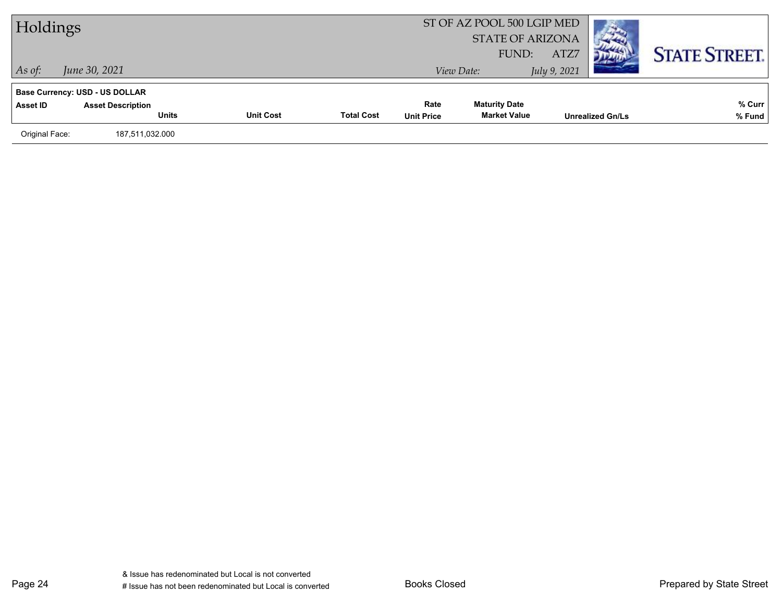| Holdings       |                                          |                  |                   | ST OF AZ POOL 500 LGIP MED<br><b>STATE OF ARIZONA</b><br>FUND: | ATZ7                 |                         |                      |
|----------------|------------------------------------------|------------------|-------------------|----------------------------------------------------------------|----------------------|-------------------------|----------------------|
| $\vert$ As of: | June 30, 2021                            |                  |                   |                                                                | View Date:           | July 9, 2021            | <b>STATE STREET.</b> |
|                | <b>Base Currency: USD - US DOLLAR</b>    |                  |                   | Rate                                                           | <b>Maturity Date</b> |                         | % Curr               |
| Asset ID       | <b>Asset Description</b><br><b>Units</b> | <b>Unit Cost</b> | <b>Total Cost</b> | <b>Unit Price</b>                                              | <b>Market Value</b>  | <b>Unrealized Gn/Ls</b> | % Fund               |
| Original Face: | 187,511,032.000                          |                  |                   |                                                                |                      |                         |                      |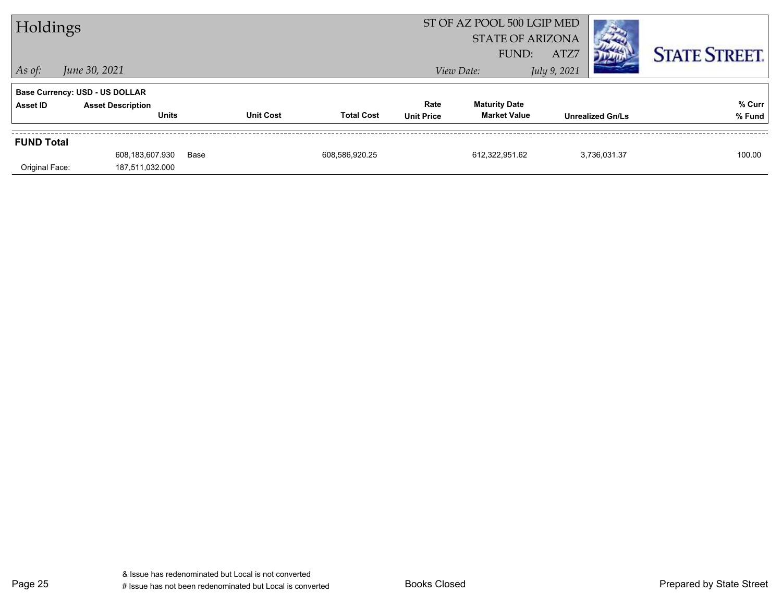| Holdings          |                                          |      |                  |                   | ST OF AZ POOL 500 LGIP MED<br><b>STATE OF ARIZONA</b><br>FUND: | ATZ7                                        |                         | <b>STATE STREET.</b> |                  |
|-------------------|------------------------------------------|------|------------------|-------------------|----------------------------------------------------------------|---------------------------------------------|-------------------------|----------------------|------------------|
| $ $ As of:        | June 30, 2021                            |      |                  |                   |                                                                | View Date:                                  | July 9, 2021            |                      |                  |
|                   | <b>Base Currency: USD - US DOLLAR</b>    |      |                  |                   |                                                                |                                             |                         |                      |                  |
| Asset ID          | <b>Asset Description</b><br><b>Units</b> |      | <b>Unit Cost</b> | <b>Total Cost</b> | Rate<br><b>Unit Price</b>                                      | <b>Maturity Date</b><br><b>Market Value</b> | <b>Unrealized Gn/Ls</b> |                      | % Curr<br>% Fund |
|                   |                                          |      |                  |                   |                                                                |                                             |                         |                      |                  |
| <b>FUND Total</b> |                                          |      |                  |                   |                                                                |                                             |                         |                      |                  |
|                   | 608,183,607.930                          | Base |                  | 608,586,920.25    |                                                                | 612,322,951.62                              |                         | 3,736,031.37         | 100.00           |
| Original Face:    | 187,511,032.000                          |      |                  |                   |                                                                |                                             |                         |                      |                  |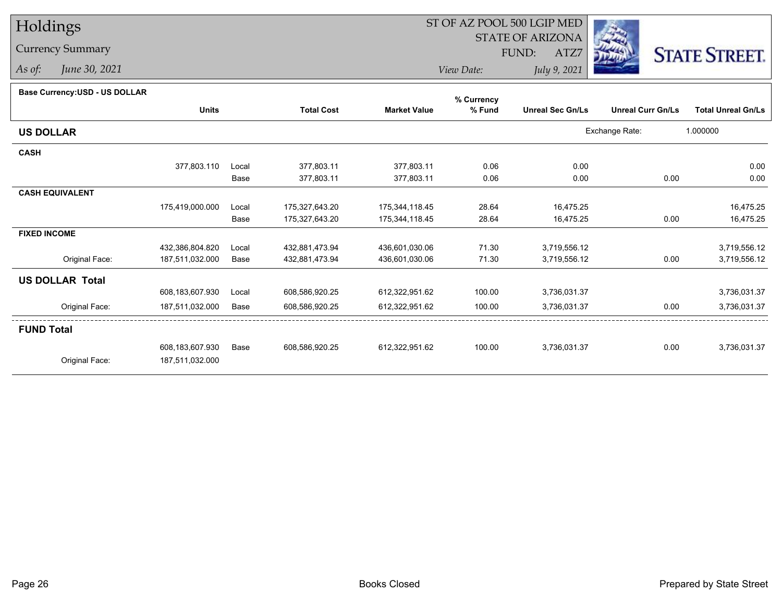## Holdings

## Currency Summary

*As of: June 30, 2021*

## ST OF AZ POOL 500 LGIP MED

 STATE OF ARIZONAFUND:

ATZ7



*View Date:July 9, 2021*

| <b>Dase Ourlelley.00D - 00 DOLLAR</b> |                 |       |                   |                     | % Currency |                         |                          |                           |
|---------------------------------------|-----------------|-------|-------------------|---------------------|------------|-------------------------|--------------------------|---------------------------|
|                                       | <b>Units</b>    |       | <b>Total Cost</b> | <b>Market Value</b> | % Fund     | <b>Unreal Sec Gn/Ls</b> | <b>Unreal Curr Gn/Ls</b> | <b>Total Unreal Gn/Ls</b> |
| <b>US DOLLAR</b>                      |                 |       |                   |                     |            |                         | Exchange Rate:           | 1.000000                  |
| <b>CASH</b>                           |                 |       |                   |                     |            |                         |                          |                           |
|                                       | 377,803.110     | Local | 377,803.11        | 377,803.11          | 0.06       | 0.00                    |                          | 0.00                      |
|                                       |                 | Base  | 377,803.11        | 377,803.11          | 0.06       | 0.00                    | 0.00                     | 0.00                      |
| <b>CASH EQUIVALENT</b>                |                 |       |                   |                     |            |                         |                          |                           |
|                                       | 175,419,000.000 | Local | 175,327,643.20    | 175,344,118.45      | 28.64      | 16,475.25               |                          | 16,475.25                 |
|                                       |                 | Base  | 175,327,643.20    | 175,344,118.45      | 28.64      | 16,475.25               | 0.00                     | 16,475.25                 |
| <b>FIXED INCOME</b>                   |                 |       |                   |                     |            |                         |                          |                           |
|                                       | 432,386,804.820 | Local | 432,881,473.94    | 436,601,030.06      | 71.30      | 3,719,556.12            |                          | 3,719,556.12              |
| Original Face:                        | 187,511,032.000 | Base  | 432,881,473.94    | 436,601,030.06      | 71.30      | 3,719,556.12            | 0.00                     | 3,719,556.12              |
| <b>US DOLLAR Total</b>                |                 |       |                   |                     |            |                         |                          |                           |
|                                       | 608,183,607.930 | Local | 608,586,920.25    | 612,322,951.62      | 100.00     | 3,736,031.37            |                          | 3,736,031.37              |
| Original Face:                        | 187,511,032.000 | Base  | 608,586,920.25    | 612,322,951.62      | 100.00     | 3,736,031.37            | 0.00                     | 3,736,031.37              |
| <b>FUND Total</b>                     |                 |       |                   |                     |            |                         |                          |                           |
|                                       | 608,183,607.930 | Base  | 608,586,920.25    | 612,322,951.62      | 100.00     | 3,736,031.37            | 0.00                     | 3,736,031.37              |
| Original Face:                        | 187,511,032.000 |       |                   |                     |            |                         |                          |                           |
|                                       |                 |       |                   |                     |            |                         |                          |                           |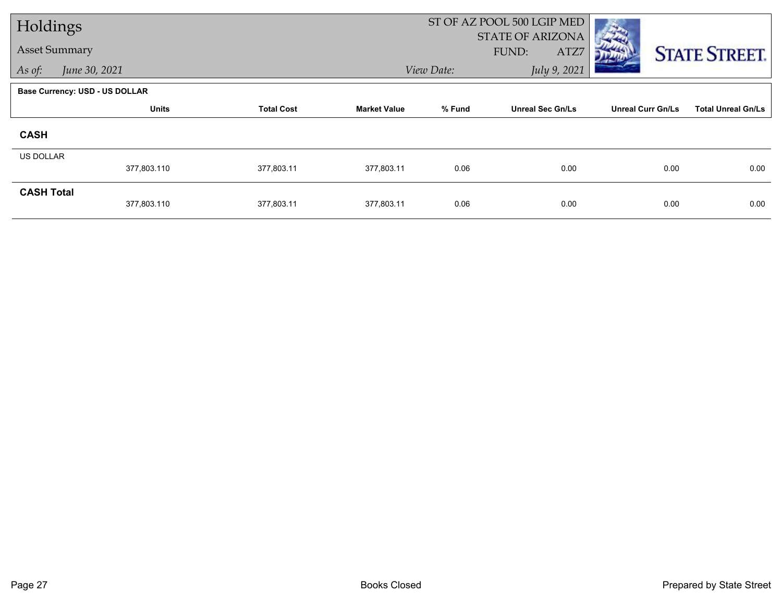| Holdings             |                                       |                   |                     |            | ST OF AZ POOL 500 LGIP MED               |                          |                           |  |
|----------------------|---------------------------------------|-------------------|---------------------|------------|------------------------------------------|--------------------------|---------------------------|--|
| <b>Asset Summary</b> |                                       |                   |                     |            | <b>STATE OF ARIZONA</b><br>FUND:<br>ATZ7 |                          | <b>STATE STREET.</b>      |  |
| As of:               | June 30, 2021                         |                   |                     | View Date: | July 9, 2021                             |                          |                           |  |
|                      | <b>Base Currency: USD - US DOLLAR</b> |                   |                     |            |                                          |                          |                           |  |
|                      | <b>Units</b>                          | <b>Total Cost</b> | <b>Market Value</b> | % Fund     | <b>Unreal Sec Gn/Ls</b>                  | <b>Unreal Curr Gn/Ls</b> | <b>Total Unreal Gn/Ls</b> |  |
| <b>CASH</b>          |                                       |                   |                     |            |                                          |                          |                           |  |
| <b>US DOLLAR</b>     |                                       |                   |                     |            |                                          |                          |                           |  |
|                      | 377,803.110                           | 377,803.11        | 377,803.11          | 0.06       | 0.00                                     | 0.00                     | 0.00                      |  |
| <b>CASH Total</b>    | 377,803.110                           | 377,803.11        | 377,803.11          | 0.06       | 0.00                                     | 0.00                     | 0.00                      |  |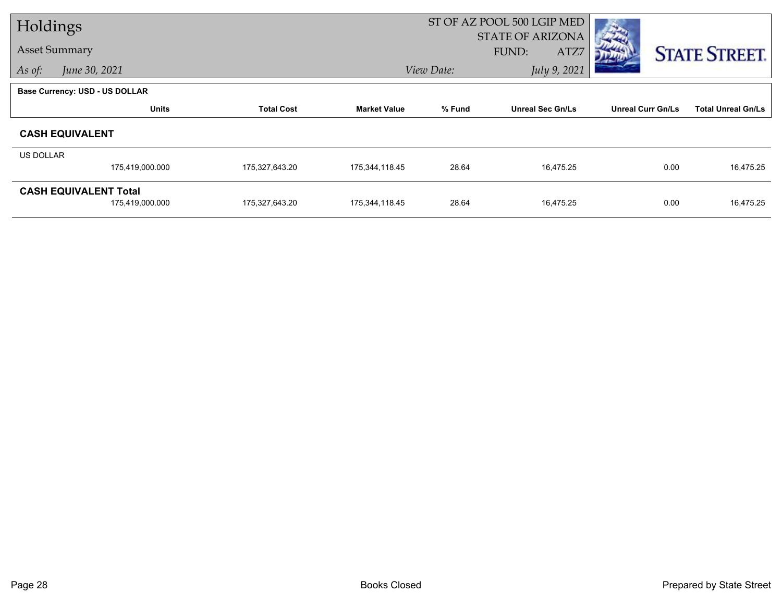| Holdings                |                                       |                   |                     | ST OF AZ POOL 500 LGIP MED |                                          |                          |                           |
|-------------------------|---------------------------------------|-------------------|---------------------|----------------------------|------------------------------------------|--------------------------|---------------------------|
| <b>Asset Summary</b>    |                                       |                   |                     |                            | <b>STATE OF ARIZONA</b><br>FUND:<br>ATZ7 |                          |                           |
| June 30, 2021<br>As of: |                                       |                   |                     | July 9, 2021<br>View Date: |                                          |                          | <b>STATE STREET.</b>      |
|                         |                                       |                   |                     |                            |                                          |                          |                           |
|                         | <b>Base Currency: USD - US DOLLAR</b> |                   |                     |                            |                                          |                          |                           |
|                         | <b>Units</b>                          | <b>Total Cost</b> | <b>Market Value</b> | % Fund                     | <b>Unreal Sec Gn/Ls</b>                  | <b>Unreal Curr Gn/Ls</b> | <b>Total Unreal Gn/Ls</b> |
| <b>CASH EQUIVALENT</b>  |                                       |                   |                     |                            |                                          |                          |                           |
| US DOLLAR               |                                       |                   |                     |                            |                                          |                          |                           |
|                         | 175,419,000.000                       | 175,327,643.20    | 175,344,118.45      | 28.64                      | 16,475.25                                | 0.00                     | 16,475.25                 |
|                         | <b>CASH EQUIVALENT Total</b>          |                   |                     |                            |                                          |                          |                           |
|                         | 175,419,000.000                       | 175,327,643.20    | 175,344,118.45      | 28.64                      | 16,475.25                                | 0.00                     | 16,475.25                 |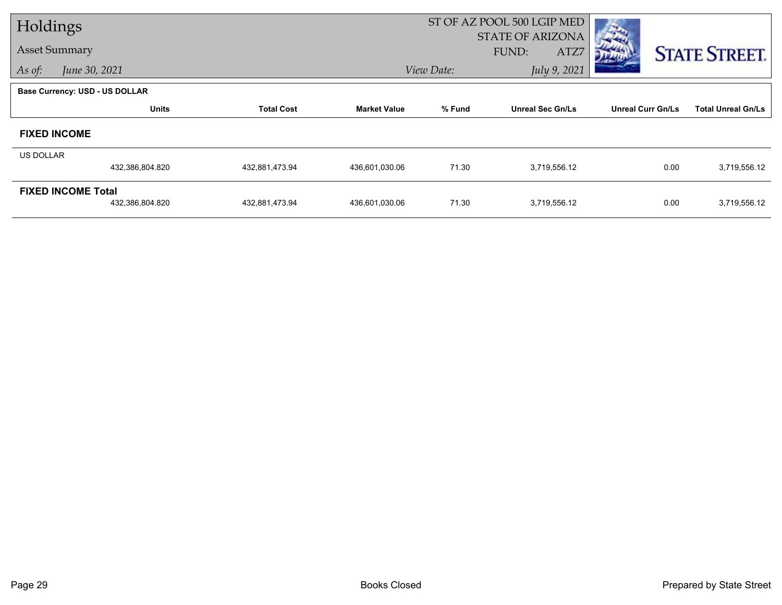| Holdings             |                                       |                   |                     | ST OF AZ POOL 500 LGIP MED |                                          |                          |                           |
|----------------------|---------------------------------------|-------------------|---------------------|----------------------------|------------------------------------------|--------------------------|---------------------------|
| <b>Asset Summary</b> |                                       |                   |                     |                            | <b>STATE OF ARIZONA</b><br>FUND:<br>ATZ7 |                          | <b>STATE STREET.</b>      |
| As of:               | June 30, 2021                         |                   |                     | View Date:                 | July 9, 2021                             |                          |                           |
|                      | <b>Base Currency: USD - US DOLLAR</b> |                   |                     |                            |                                          |                          |                           |
|                      | <b>Units</b>                          | <b>Total Cost</b> | <b>Market Value</b> | % Fund                     | <b>Unreal Sec Gn/Ls</b>                  | <b>Unreal Curr Gn/Ls</b> | <b>Total Unreal Gn/Ls</b> |
| <b>FIXED INCOME</b>  |                                       |                   |                     |                            |                                          |                          |                           |
| US DOLLAR            |                                       |                   |                     |                            |                                          |                          |                           |
|                      | 432,386,804.820                       | 432,881,473.94    | 436,601,030.06      | 71.30                      | 3,719,556.12                             | 0.00                     | 3,719,556.12              |
|                      | <b>FIXED INCOME Total</b>             |                   |                     |                            |                                          |                          |                           |
|                      | 432,386,804.820                       | 432,881,473.94    | 436,601,030.06      | 71.30                      | 3,719,556.12                             | 0.00                     | 3,719,556.12              |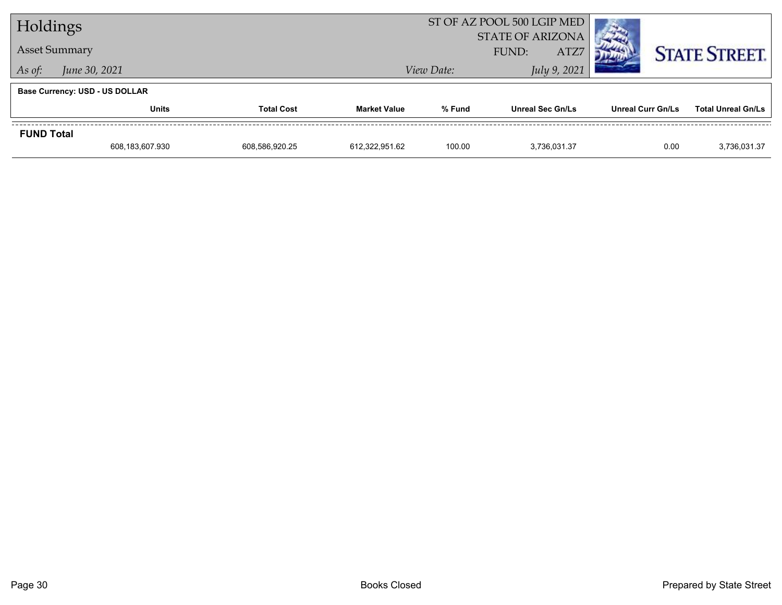| Holdings             |                                       |                   |                     | ST OF AZ POOL 500 LGIP MED               | <b>The Contract of the Contract of the Contract of the Contract of the Contract of the Contract of the Contract of The Contract of The Contract of The Contract of The Contract of The Contract of The Contract of The Contract </b> |                   |                           |  |
|----------------------|---------------------------------------|-------------------|---------------------|------------------------------------------|--------------------------------------------------------------------------------------------------------------------------------------------------------------------------------------------------------------------------------------|-------------------|---------------------------|--|
| <b>Asset Summary</b> |                                       |                   |                     | <b>STATE OF ARIZONA</b><br>ATZ7<br>FUND: |                                                                                                                                                                                                                                      |                   | <b>STATE STREET.</b>      |  |
| As of:               | June 30, 2021                         |                   |                     | View Date:                               | July 9, 2021                                                                                                                                                                                                                         |                   |                           |  |
|                      | <b>Base Currency: USD - US DOLLAR</b> |                   |                     |                                          |                                                                                                                                                                                                                                      |                   |                           |  |
|                      | <b>Units</b>                          | <b>Total Cost</b> | <b>Market Value</b> | % Fund                                   | <b>Unreal Sec Gn/Ls</b>                                                                                                                                                                                                              | Unreal Curr Gn/Ls | <b>Total Unreal Gn/Ls</b> |  |
| <b>FUND Total</b>    |                                       |                   |                     |                                          |                                                                                                                                                                                                                                      |                   |                           |  |
|                      | 608,183,607.930                       | 608,586,920.25    | 612.322.951.62      | 100.00                                   | 3.736.031.37                                                                                                                                                                                                                         | 0.00              | 3,736,031.37              |  |